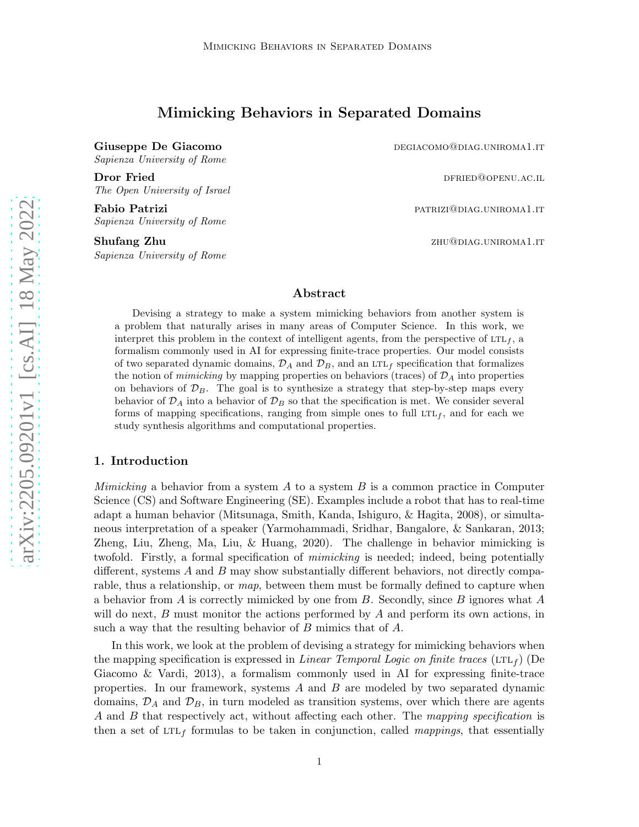# Mimicking Behaviors in Separated Domains

Sapienza University of Rome

**Dror Fried discussed by the contract of the COV** discussed by the DFRIED@OPENU.AC.IL The Open University of Israel

Fabio Patrizi patrizi patrizi patriari patriari patriari patriari patriari patriari patriari patriari patriari Sapienza University of Rome

Shufang Zhu zhumani zhumani zhu@diag.uniroma1.it Sapienza University of Rome

Giuseppe De Giacomo degli differenti di controllati di differenti di controllati di differenti di controllati di

# Abstract

Devising a strategy to make a system mimicking behaviors from another system is a problem that naturally arises in many areas of Computer Science. In this work, we interpret this problem in the context of intelligent agents, from the perspective of  $LTL<sub>f</sub>$ , a formalism commonly used in AI for expressing finite-trace properties. Our model consists of two separated dynamic domains,  $\mathcal{D}_A$  and  $\mathcal{D}_B$ , and an LTL<sub>f</sub> specification that formalizes the notion of *mimicking* by mapping properties on behaviors (traces) of  $\mathcal{D}_A$  into properties on behaviors of  $\mathcal{D}_B$ . The goal is to synthesize a strategy that step-by-step maps every behavior of  $\mathcal{D}_A$  into a behavior of  $\mathcal{D}_B$  so that the specification is met. We consider several forms of mapping specifications, ranging from simple ones to full  $LTL<sub>f</sub>$ , and for each we study synthesis algorithms and computational properties.

# 1. Introduction

*Mimicking* a behavior from a system  $A$  to a system  $B$  is a common practice in Computer Science (CS) and Software Engineering (SE). Examples include a robot that has to real-time adapt a human behavior (Mitsunaga, Smith, Kanda, Ishiguro, & Hagita, 2008), or simultaneous interpretation of a speaker (Yarmohammadi, Sridhar, Bangalore, & Sankaran, 2013; Zheng, Liu, Zheng, Ma, Liu, & Huang, 2020). The challenge in behavior mimicking is twofold. Firstly, a formal specification of mimicking is needed; indeed, being potentially different, systems A and B may show substantially different behaviors, not directly comparable, thus a relationship, or map, between them must be formally defined to capture when a behavior from A is correctly mimicked by one from B. Secondly, since B ignores what A will do next,  $B$  must monitor the actions performed by  $A$  and perform its own actions, in such a way that the resulting behavior of B mimics that of A.

In this work, we look at the problem of devising a strategy for mimicking behaviors when the mapping specification is expressed in *Linear Temporal Logic on finite traces* (LTL $_f$ ) (De Giacomo & Vardi, 2013), a formalism commonly used in AI for expressing finite-trace properties. In our framework, systems A and B are modeled by two separated dynamic domains,  $\mathcal{D}_A$  and  $\mathcal{D}_B$ , in turn modeled as transition systems, over which there are agents A and B that respectively act, without affecting each other. The mapping specification is then a set of  $LTL_f$  formulas to be taken in conjunction, called *mappings*, that essentially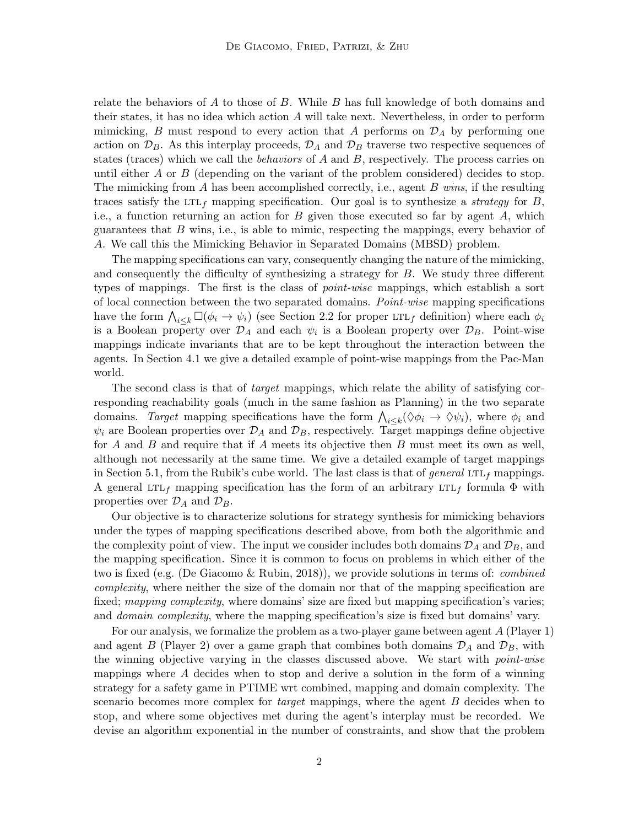relate the behaviors of  $A$  to those of  $B$ . While  $B$  has full knowledge of both domains and their states, it has no idea which action A will take next. Nevertheless, in order to perform mimicking, B must respond to every action that A performs on  $\mathcal{D}_A$  by performing one action on  $\mathcal{D}_B$ . As this interplay proceeds,  $\mathcal{D}_A$  and  $\mathcal{D}_B$  traverse two respective sequences of states (traces) which we call the *behaviors* of  $A$  and  $B$ , respectively. The process carries on until either A or B (depending on the variant of the problem considered) decides to stop. The mimicking from A has been accomplished correctly, i.e., agent B wins, if the resulting traces satisfy the LTL<sub>f</sub> mapping specification. Our goal is to synthesize a *strategy* for B, i.e., a function returning an action for  $B$  given those executed so far by agent  $A$ , which guarantees that  $B$  wins, i.e., is able to mimic, respecting the mappings, every behavior of A. We call this the Mimicking Behavior in Separated Domains (MBSD) problem.

The mapping specifications can vary, consequently changing the nature of the mimicking, and consequently the difficulty of synthesizing a strategy for B. We study three different types of mappings. The first is the class of *point-wise* mappings, which establish a sort of local connection between the two separated domains. Point-wise mapping specifications have the form  $\bigwedge_{i\leq k} \Box(\phi_i \to \psi_i)$  (see Section 2.2 for proper LTL<sub>f</sub> definition) where each  $\phi_i$ is a Boolean property over  $\mathcal{D}_A$  and each  $\psi_i$  is a Boolean property over  $\mathcal{D}_B$ . Point-wise mappings indicate invariants that are to be kept throughout the interaction between the agents. In Section 4.1 we give a detailed example of point-wise mappings from the Pac-Man world.

The second class is that of *target* mappings, which relate the ability of satisfying corresponding reachability goals (much in the same fashion as Planning) in the two separate domains. Target mapping specifications have the form  $\bigwedge_{i\leq k}(\Diamond\phi_i\to\Diamond\psi_i)$ , where  $\phi_i$  and  $\psi_i$  are Boolean properties over  $\mathcal{D}_A$  and  $\mathcal{D}_B$ , respectively. Target mappings define objective for A and B and require that if A meets its objective then B must meet its own as well, although not necessarily at the same time. We give a detailed example of target mappings in Section 5.1, from the Rubik's cube world. The last class is that of general LTL<sub>f</sub> mappings. A general LTL<sub>f</sub> mapping specification has the form of an arbitrary LTL<sub>f</sub> formula  $\Phi$  with properties over  $\mathcal{D}_A$  and  $\mathcal{D}_B$ .

Our objective is to characterize solutions for strategy synthesis for mimicking behaviors under the types of mapping specifications described above, from both the algorithmic and the complexity point of view. The input we consider includes both domains  $\mathcal{D}_A$  and  $\mathcal{D}_B$ , and the mapping specification. Since it is common to focus on problems in which either of the two is fixed (e.g. (De Giacomo & Rubin, 2018)), we provide solutions in terms of: *combined* complexity, where neither the size of the domain nor that of the mapping specification are fixed; mapping complexity, where domains' size are fixed but mapping specification's varies; and *domain complexity*, where the mapping specification's size is fixed but domains' vary.

For our analysis, we formalize the problem as a two-player game between agent A (Player 1) and agent B (Player 2) over a game graph that combines both domains  $\mathcal{D}_A$  and  $\mathcal{D}_B$ , with the winning objective varying in the classes discussed above. We start with *point-wise* mappings where  $A$  decides when to stop and derive a solution in the form of a winning strategy for a safety game in PTIME wrt combined, mapping and domain complexity. The scenario becomes more complex for *target* mappings, where the agent B decides when to stop, and where some objectives met during the agent's interplay must be recorded. We devise an algorithm exponential in the number of constraints, and show that the problem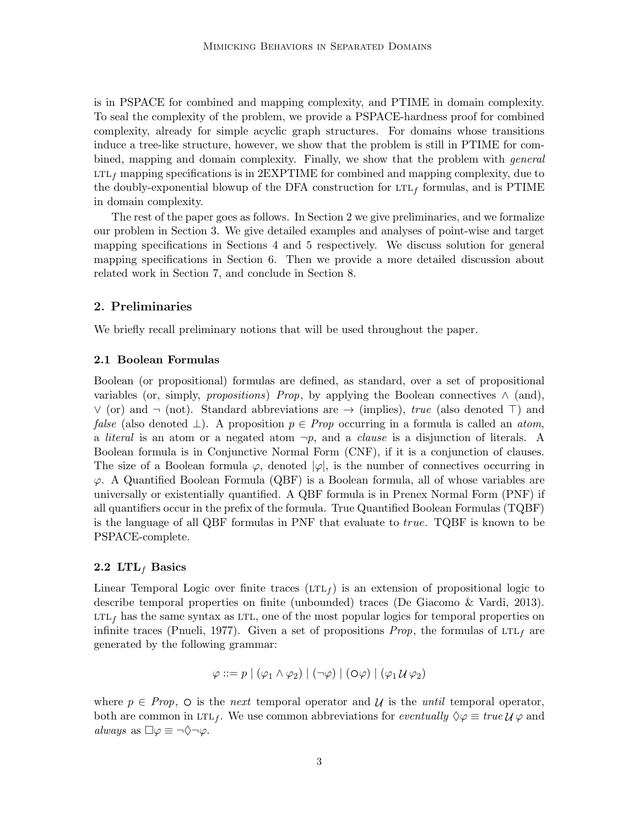is in PSPACE for combined and mapping complexity, and PTIME in domain complexity. To seal the complexity of the problem, we provide a PSPACE-hardness proof for combined complexity, already for simple acyclic graph structures. For domains whose transitions induce a tree-like structure, however, we show that the problem is still in PTIME for combined, mapping and domain complexity. Finally, we show that the problem with general  $LTL_f$  mapping specifications is in 2EXPTIME for combined and mapping complexity, due to the doubly-exponential blowup of the DFA construction for  $LTL_f$  formulas, and is PTIME in domain complexity.

The rest of the paper goes as follows. In Section 2 we give preliminaries, and we formalize our problem in Section 3. We give detailed examples and analyses of point-wise and target mapping specifications in Sections 4 and 5 respectively. We discuss solution for general mapping specifications in Section 6. Then we provide a more detailed discussion about related work in Section 7, and conclude in Section 8.

# 2. Preliminaries

We briefly recall preliminary notions that will be used throughout the paper.

## 2.1 Boolean Formulas

Boolean (or propositional) formulas are defined, as standard, over a set of propositional variables (or, simply, *propositions*) Prop, by applying the Boolean connectives  $\wedge$  (and),  $\vee$  (or) and  $\neg$  (not). Standard abbreviations are  $\rightarrow$  (implies), *true* (also denoted  $\top$ ) and *false* (also denoted  $\perp$ ). A proposition  $p \in Prop$  occurring in a formula is called an *atom*, a *literal* is an atom or a negated atom  $\neg p$ , and a *clause* is a disjunction of literals. A Boolean formula is in Conjunctive Normal Form (CNF), if it is a conjunction of clauses. The size of a Boolean formula  $\varphi$ , denoted  $|\varphi|$ , is the number of connectives occurring in  $\varphi$ . A Quantified Boolean Formula (QBF) is a Boolean formula, all of whose variables are universally or existentially quantified. A QBF formula is in Prenex Normal Form (PNF) if all quantifiers occur in the prefix of the formula. True Quantified Boolean Formulas (TQBF) is the language of all QBF formulas in PNF that evaluate to true. TQBF is known to be PSPACE-complete.

#### 2.2 LTL<sub>f</sub> Basics

Linear Temporal Logic over finite traces  $(LTL_f)$  is an extension of propositional logic to describe temporal properties on finite (unbounded) traces (De Giacomo & Vardi, 2013).  $LTL<sub>f</sub>$  has the same syntax as LTL, one of the most popular logics for temporal properties on infinite traces (Pnueli, 1977). Given a set of propositions *Prop*, the formulas of  $LTL<sub>f</sub>$  are generated by the following grammar:

$$
\varphi ::= p \mid (\varphi_1 \land \varphi_2) \mid (\neg \varphi) \mid (O\varphi) \mid (\varphi_1 \mathcal{U} \varphi_2)
$$

where  $p \in Prop$ ,  $\circ$  is the *next* temporal operator and  $\mathcal U$  is the until temporal operator, both are common in LTL<sub>f</sub>. We use common abbreviations for *eventually*  $\Diamond \varphi \equiv true \mathcal{U} \varphi$  and always as  $\Box \varphi \equiv \neg \Diamond \neg \varphi$ .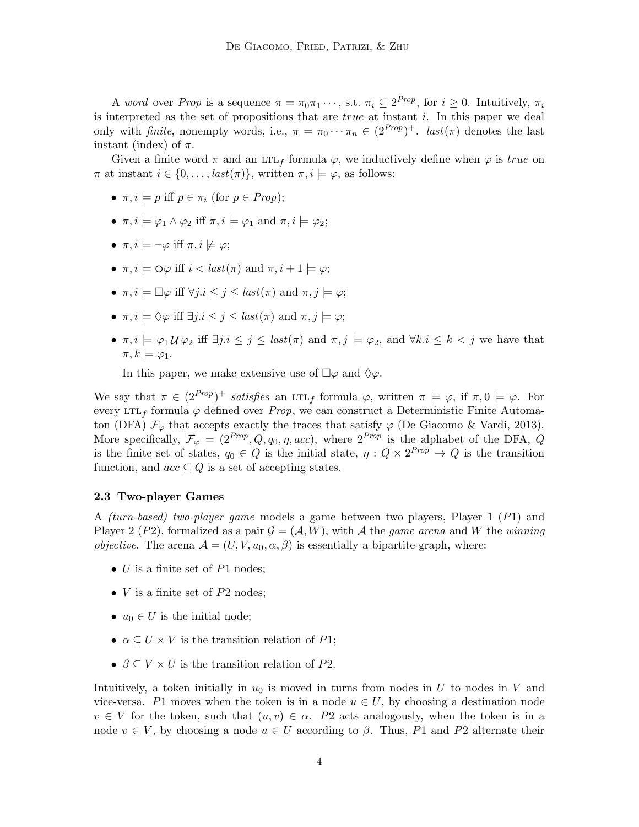A word over Prop is a sequence  $\pi = \pi_0 \pi_1 \cdots$ , s.t.  $\pi_i \subseteq 2^{Prop}$ , for  $i \geq 0$ . Intuitively,  $\pi_i$ is interpreted as the set of propositions that are *true* at instant i. In this paper we deal only with *finite*, nonempty words, i.e.,  $\pi = \pi_0 \cdots \pi_n \in (2^{Prop})^+$ . *last*( $\pi$ ) denotes the last instant (index) of  $\pi$ .

Given a finite word  $\pi$  and an LTL<sub>f</sub> formula  $\varphi$ , we inductively define when  $\varphi$  is true on  $\pi$  at instant  $i \in \{0, \ldots, \text{last}(\pi)\}\,$ , written  $\pi, i \models \varphi$ , as follows:

- $\pi, i \models p$  iff  $p \in \pi_i$  (for  $p \in Prop$ );
- $\pi, i \models \varphi_1 \land \varphi_2$  iff  $\pi, i \models \varphi_1$  and  $\pi, i \models \varphi_2$ ;
- $\pi, i \models \neg \varphi$  iff  $\pi, i \not\models \varphi$ ;
- $\pi, i \models \bigcirc \varphi$  iff  $i < \text{last}(\pi)$  and  $\pi, i + 1 \models \varphi$ ;
- $\pi, i \models \Box \varphi$  iff  $\forall j.i \leq j \leq last(\pi)$  and  $\pi, j \models \varphi;$
- $\pi, i \models \Diamond \varphi$  iff  $\exists j.i \leq j \leq last(\pi)$  and  $\pi, j \models \varphi;$
- $\pi, i \models \varphi_1 \mathcal{U} \varphi_2$  iff  $\exists j.i \leq j \leq last(\pi)$  and  $\pi, j \models \varphi_2$ , and  $\forall k.i \leq k < j$  we have that  $\pi, k \models \varphi_1.$

In this paper, we make extensive use of  $\Box \varphi$  and  $\Diamond \varphi$ .

We say that  $\pi \in (2^{Prop})^+$  satisfies an LTL<sub>f</sub> formula  $\varphi$ , written  $\pi \models \varphi$ , if  $\pi, 0 \models \varphi$ . For every LTL<sub>f</sub> formula  $\varphi$  defined over Prop, we can construct a Deterministic Finite Automaton (DFA)  $\mathcal{F}_{\varphi}$  that accepts exactly the traces that satisfy  $\varphi$  (De Giacomo & Vardi, 2013). More specifically,  $\mathcal{F}_{\varphi} = (2^{Prop}, Q, q_0, \eta, acc)$ , where  $2^{Prop}$  is the alphabet of the DFA,  $Q$ is the finite set of states,  $q_0 \in Q$  is the initial state,  $\eta: Q \times 2^{Prop} \to Q$  is the transition function, and  $acc \subseteq Q$  is a set of accepting states.

#### 2.3 Two-player Games

A (turn-based) two-player game models a game between two players, Player 1 (P1) and Player 2 (P2), formalized as a pair  $\mathcal{G} = (\mathcal{A}, W)$ , with A the game arena and W the winning *objective.* The arena  $A = (U, V, u_0, \alpha, \beta)$  is essentially a bipartite-graph, where:

- $U$  is a finite set of  $P1$  nodes;
- $V$  is a finite set of  $P2$  nodes;
- $u_0 \in U$  is the initial node;
- $\alpha \subset U \times V$  is the transition relation of P1;
- $\beta \subseteq V \times U$  is the transition relation of P2.

Intuitively, a token initially in  $u_0$  is moved in turns from nodes in U to nodes in V and vice-versa. P1 moves when the token is in a node  $u \in U$ , by choosing a destination node  $v \in V$  for the token, such that  $(u, v) \in \alpha$ . P2 acts analogously, when the token is in a node  $v \in V$ , by choosing a node  $u \in U$  according to  $\beta$ . Thus, P1 and P2 alternate their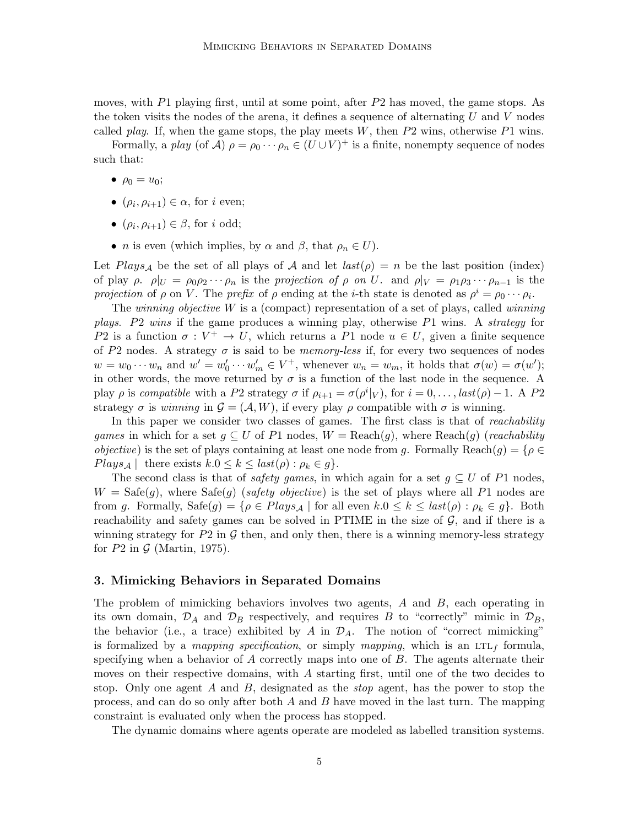moves, with P1 playing first, until at some point, after  $P2$  has moved, the game stops. As the token visits the nodes of the arena, it defines a sequence of alternating  $U$  and  $V$  nodes called *play.* If, when the game stops, the play meets  $W$ , then  $P2$  wins, otherwise  $P1$  wins.

Formally, a play (of A)  $\rho = \rho_0 \cdots \rho_n \in (U \cup V)^+$  is a finite, nonempty sequence of nodes such that:

- $\rho_0 = u_0;$
- $(\rho_i, \rho_{i+1}) \in \alpha$ , for *i* even;
- $(\rho_i, \rho_{i+1}) \in \beta$ , for *i* odd;
- *n* is even (which implies, by  $\alpha$  and  $\beta$ , that  $\rho_n \in U$ ).

Let Plays<sub>A</sub> be the set of all plays of A and let  $last(\rho) = n$  be the last position (index) of play  $\rho$ .  $\rho|_U = \rho_0 \rho_2 \cdots \rho_n$  is the projection of  $\rho$  on U. and  $\rho|_V = \rho_1 \rho_3 \cdots \rho_{n-1}$  is the projection of  $\rho$  on V. The prefix of  $\rho$  ending at the *i*-th state is denoted as  $\rho^i = \rho_0 \cdots \rho_i$ .

The winning objective  $W$  is a (compact) representation of a set of plays, called winning plays. P2 wins if the game produces a winning play, otherwise P1 wins. A strategy for P2 is a function  $\sigma: V^+ \to U$ , which returns a P1 node  $u \in U$ , given a finite sequence of P2 nodes. A strategy  $\sigma$  is said to be *memory-less* if, for every two sequences of nodes  $w = w_0 \cdots w_n$  and  $w' = w'_0 \cdots w'_m \in V^+$ , whenever  $w_n = w_m$ , it holds that  $\sigma(w) = \sigma(w')$ ; in other words, the move returned by  $\sigma$  is a function of the last node in the sequence. A play  $\rho$  is compatible with a P2 strategy  $\sigma$  if  $\rho_{i+1} = \sigma(\rho^i|_V)$ , for  $i = 0, \ldots, last(\rho) - 1$ . A P2 strategy  $\sigma$  is winning in  $\mathcal{G} = (\mathcal{A}, W)$ , if every play  $\rho$  compatible with  $\sigma$  is winning.

In this paper we consider two classes of games. The first class is that of *reachability* games in which for a set  $g \subseteq U$  of P1 nodes,  $W = \text{Reach}(g)$ , where  $\text{Reach}(g)$  (reachability *objective*) is the set of plays containing at least one node from g. Formally Reach $(g) = \{ \rho \in$  $Plays_{\mathcal{A}}$  | there exists  $k.0 \leq k \leq last(\rho) : \rho_k \in g$ .

The second class is that of *safety games*, in which again for a set  $g \subseteq U$  of P1 nodes,  $W = \text{Safe}(g)$ , where  $\text{Safe}(g)$  (safety objective) is the set of plays where all P1 nodes are from g. Formally,  $\text{Safe}(g) = \{ \rho \in \text{Plays}_{\mathcal{A}} \mid \text{for all even } k.0 \leq k \leq \text{last}(\rho) : \rho_k \in g \}.$  Both reachability and safety games can be solved in PTIME in the size of  $\mathcal{G}$ , and if there is a winning strategy for  $P2$  in  $\mathcal G$  then, and only then, there is a winning memory-less strategy for  $P2$  in  $\mathcal G$  (Martin, 1975).

# 3. Mimicking Behaviors in Separated Domains

The problem of mimicking behaviors involves two agents,  $A$  and  $B$ , each operating in its own domain,  $\mathcal{D}_A$  and  $\mathcal{D}_B$  respectively, and requires B to "correctly" mimic in  $\mathcal{D}_B$ , the behavior (i.e., a trace) exhibited by A in  $\mathcal{D}_A$ . The notion of "correct mimicking" is formalized by a *mapping specification*, or simply *mapping*, which is an LTL<sub>f</sub> formula, specifying when a behavior of  $A$  correctly maps into one of  $B$ . The agents alternate their moves on their respective domains, with A starting first, until one of the two decides to stop. Only one agent  $A$  and  $B$ , designated as the stop agent, has the power to stop the process, and can do so only after both  $A$  and  $B$  have moved in the last turn. The mapping constraint is evaluated only when the process has stopped.

The dynamic domains where agents operate are modeled as labelled transition systems.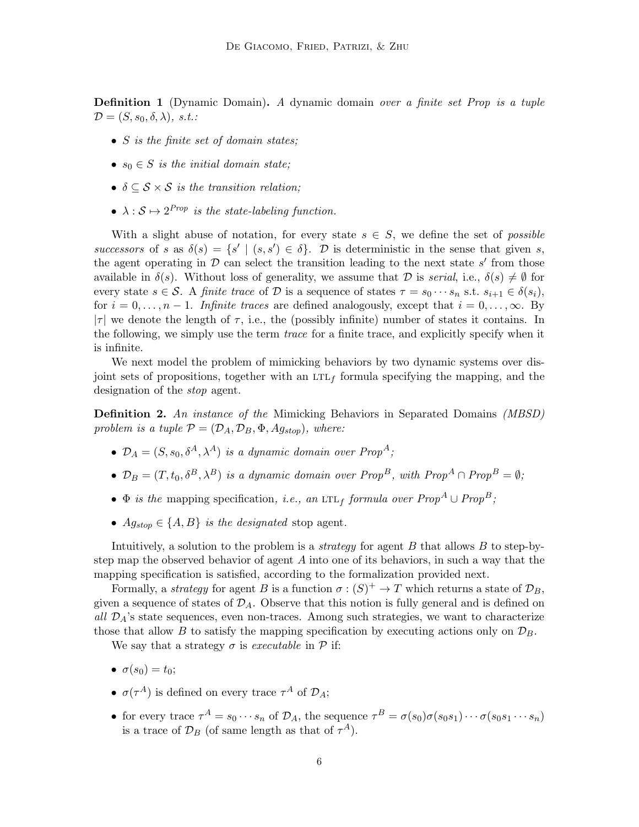**Definition 1** (Dynamic Domain). A dynamic domain over a finite set Prop is a tuple  $\mathcal{D} = (S, s_0, \delta, \lambda), \; s.t.$ 

- S is the finite set of domain states;
- $s_0 \in S$  is the initial domain state;
- $\delta \subseteq S \times S$  is the transition relation:
- $\lambda : \mathcal{S} \mapsto 2^{Prop}$  is the state-labeling function.

With a slight abuse of notation, for every state  $s \in S$ , we define the set of *possible* successors of s as  $\delta(s) = \{s' \mid (s, s') \in \delta\}$ . D is deterministic in the sense that given s, the agent operating in  $D$  can select the transition leading to the next state  $s'$  from those available in  $\delta(s)$ . Without loss of generality, we assume that D is serial, i.e.,  $\delta(s) \neq \emptyset$  for every state  $s \in \mathcal{S}$ . A finite trace of  $\mathcal{D}$  is a sequence of states  $\tau = s_0 \cdots s_n$  s.t.  $s_{i+1} \in \delta(s_i)$ , for  $i = 0, \ldots, n-1$ . Infinite traces are defined analogously, except that  $i = 0, \ldots, \infty$ . By  $|\tau|$  we denote the length of  $\tau$ , i.e., the (possibly infinite) number of states it contains. In the following, we simply use the term *trace* for a finite trace, and explicitly specify when it is infinite.

We next model the problem of mimicking behaviors by two dynamic systems over disjoint sets of propositions, together with an  $LTL<sub>f</sub>$  formula specifying the mapping, and the designation of the stop agent.

**Definition 2.** An instance of the Mimicking Behaviors in Separated Domains (MBSD) problem is a tuple  $\mathcal{P} = (\mathcal{D}_A, \mathcal{D}_B, \Phi, Ag_{stop})$ , where:

- $\mathcal{D}_A = (S, s_0, \delta^A, \lambda^A)$  is a dynamic domain over Prop<sup>A</sup>;
- $\mathcal{D}_B = (T, t_0, \delta^B, \lambda^B)$  is a dynamic domain over Prop<sup>B</sup>, with Prop<sup>A</sup> ∩ Prop<sup>B</sup> =  $\emptyset$ ;
- $\Phi$  is the mapping specification, i.e., an LTL<sub>f</sub> formula over  $Prop^A \cup Prop^B$ ;
- $Ag_{stop} \in \{A, B\}$  is the designated stop agent.

Intuitively, a solution to the problem is a *strategy* for agent  $B$  that allows  $B$  to step-bystep map the observed behavior of agent A into one of its behaviors, in such a way that the mapping specification is satisfied, according to the formalization provided next.

Formally, a *strategy* for agent B is a function  $\sigma$  :  $(S)^+ \to T$  which returns a state of  $\mathcal{D}_B$ , given a sequence of states of  $\mathcal{D}_A$ . Observe that this notion is fully general and is defined on all  $\mathcal{D}_A$ 's state sequences, even non-traces. Among such strategies, we want to characterize those that allow B to satisfy the mapping specification by executing actions only on  $\mathcal{D}_B$ .

We say that a strategy  $\sigma$  is executable in  $\mathcal P$  if:

- $\sigma(s_0) = t_0;$
- $\sigma(\tau^A)$  is defined on every trace  $\tau^A$  of  $\mathcal{D}_A$ ;
- for every trace  $\tau^A = s_0 \cdots s_n$  of  $\mathcal{D}_A$ , the sequence  $\tau^B = \sigma(s_0)\sigma(s_0s_1)\cdots \sigma(s_0s_1\cdots s_n)$ is a trace of  $\mathcal{D}_B$  (of same length as that of  $\tau^A$ ).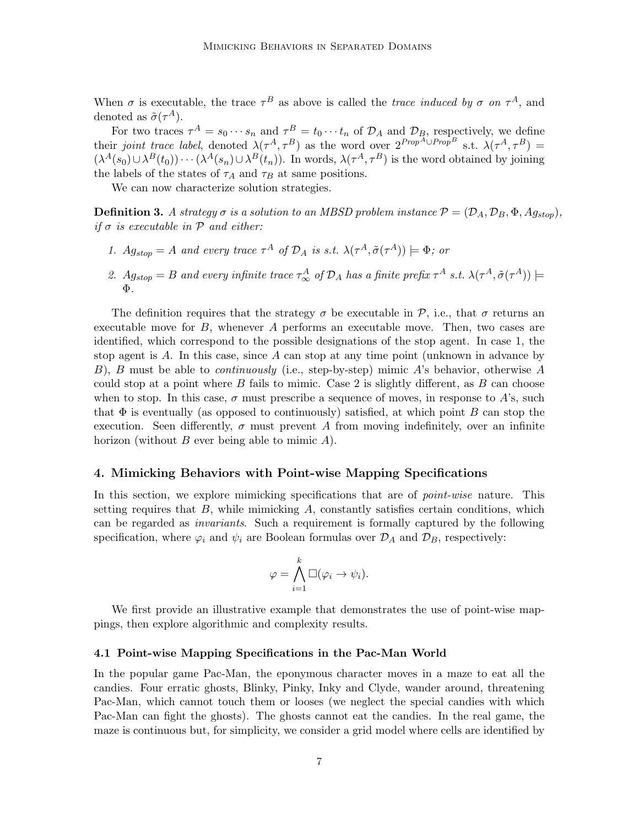When  $\sigma$  is executable, the trace  $\tau^B$  as above is called the *trace induced by*  $\sigma$  on  $\tau^A$ , and denoted as  $\tilde{\sigma}(\tau^A)$ .

For two traces  $\tau^A = s_0 \cdots s_n$  and  $\tau^B = t_0 \cdots t_n$  of  $\mathcal{D}_A$  and  $\mathcal{D}_B$ , respectively, we define their joint trace label, denoted  $\lambda(\tau^A, \tau^B)$  as the word over  $2^{Prop^A \cup Prop^B}$  s.t.  $\lambda(\tau^A, \tau^B)$  =  $(\lambda^A(s_0) \cup \lambda^B(t_0)) \cdots (\lambda^A(s_n) \cup \lambda^B(t_n))$ . In words,  $\lambda(\tau^A, \tau^B)$  is the word obtained by joining the labels of the states of  $\tau_A$  and  $\tau_B$  at same positions.

We can now characterize solution strategies.

**Definition 3.** A strategy  $\sigma$  is a solution to an MBSD problem instance  $\mathcal{P} = (\mathcal{D}_A, \mathcal{D}_B, \Phi, Ag_{stop})$ , if  $\sigma$  is executable in  $\mathcal P$  and either:

- 1.  $A g_{stop} = A$  and every trace  $\tau^A$  of  $\mathcal{D}_A$  is s.t.  $\lambda(\tau^A, \tilde{\sigma}(\tau^A)) \models \Phi$ ; or
- 2.  $Ag_{stop} = B$  and every infinite trace  $\tau_{\infty}^{A}$  of  $\mathcal{D}_{A}$  has a finite prefix  $\tau^{A}$  s.t.  $\lambda(\tau^{A}, \tilde{\sigma}(\tau^{A})) \models$ Φ.

The definition requires that the strategy  $\sigma$  be executable in  $\mathcal{P}$ , i.e., that  $\sigma$  returns an executable move for  $B$ , whenever  $A$  performs an executable move. Then, two cases are identified, which correspond to the possible designations of the stop agent. In case 1, the stop agent is  $A$ . In this case, since  $A$  can stop at any time point (unknown in advance by B), B must be able to *continuously* (i.e., step-by-step) mimic A's behavior, otherwise A could stop at a point where  $B$  fails to mimic. Case 2 is slightly different, as  $B$  can choose when to stop. In this case,  $\sigma$  must prescribe a sequence of moves, in response to A's, such that  $\Phi$  is eventually (as opposed to continuously) satisfied, at which point B can stop the execution. Seen differently,  $\sigma$  must prevent A from moving indefinitely, over an infinite horizon (without  $B$  ever being able to mimic  $A$ ).

## 4. Mimicking Behaviors with Point-wise Mapping Specifications

In this section, we explore mimicking specifications that are of *point-wise* nature. This setting requires that  $B$ , while mimicking  $A$ , constantly satisfies certain conditions, which can be regarded as invariants. Such a requirement is formally captured by the following specification, where  $\varphi_i$  and  $\psi_i$  are Boolean formulas over  $\mathcal{D}_A$  and  $\mathcal{D}_B$ , respectively:

$$
\varphi = \bigwedge_{i=1}^k \Box(\varphi_i \to \psi_i).
$$

We first provide an illustrative example that demonstrates the use of point-wise mappings, then explore algorithmic and complexity results.

## 4.1 Point-wise Mapping Specifications in the Pac-Man World

In the popular game Pac-Man, the eponymous character moves in a maze to eat all the candies. Four erratic ghosts, Blinky, Pinky, Inky and Clyde, wander around, threatening Pac-Man, which cannot touch them or looses (we neglect the special candies with which Pac-Man can fight the ghosts). The ghosts cannot eat the candies. In the real game, the maze is continuous but, for simplicity, we consider a grid model where cells are identified by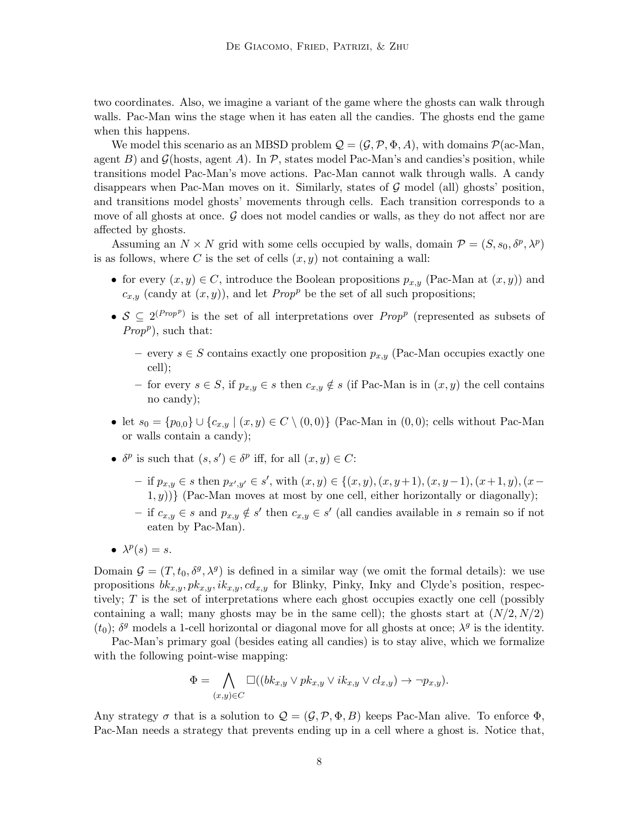two coordinates. Also, we imagine a variant of the game where the ghosts can walk through walls. Pac-Man wins the stage when it has eaten all the candies. The ghosts end the game when this happens.

We model this scenario as an MBSD problem  $\mathcal{Q} = (\mathcal{G}, \mathcal{P}, \Phi, A)$ , with domains  $\mathcal{P}(\text{ac-Man}, \mathcal{Q})$ agent B) and  $\mathcal{G}(\text{hosts}, \text{agent } A)$ . In P, states model Pac-Man's and candies's position, while transitions model Pac-Man's move actions. Pac-Man cannot walk through walls. A candy disappears when Pac-Man moves on it. Similarly, states of  $\mathcal G$  model (all) ghosts' position, and transitions model ghosts' movements through cells. Each transition corresponds to a move of all ghosts at once.  $\mathcal G$  does not model candies or walls, as they do not affect nor are affected by ghosts.

Assuming an  $N \times N$  grid with some cells occupied by walls, domain  $\mathcal{P} = (S, s_0, \delta^p, \lambda^p)$ is as follows, where C is the set of cells  $(x, y)$  not containing a wall:

- for every  $(x, y) \in C$ , introduce the Boolean propositions  $p_{x,y}$  (Pac-Man at  $(x, y)$ ) and  $c_{x,y}$  (candy at  $(x, y)$ ), and let Prop<sup>p</sup> be the set of all such propositions;
- $S \subseteq 2^{(Prop^p)}$  is the set of all interpretations over Prop<sup>p</sup> (represented as subsets of  $Prop<sup>p</sup>$ ), such that:
	- every  $s \in S$  contains exactly one proposition  $p_{x,y}$  (Pac-Man occupies exactly one cell);
	- for every  $s \in S$ , if  $p_{x,y} \in s$  then  $c_{x,y} \notin s$  (if Pac-Man is in  $(x, y)$  the cell contains no candy);
- let  $s_0 = \{p_{0,0}\} \cup \{c_{x,y} \mid (x,y) \in C \setminus (0,0)\}\$  (Pac-Man in  $(0,0)$ ; cells without Pac-Man or walls contain a candy);
- $\delta^p$  is such that  $(s, s') \in \delta^p$  iff, for all  $(x, y) \in C$ :
	- $-$  if  $p_{x,y} \in s$  then  $p_{x',y'} \in s'$ , with  $(x,y) \in \{(x,y), (x,y+1), (x,y-1), (x+1,y), (x (1, y)$ } (Pac-Man moves at most by one cell, either horizontally or diagonally);
	- if  $c_{x,y}$  ∈ s and  $p_{x,y}$  ∉ s' then  $c_{x,y}$  ∈ s' (all candies available in s remain so if not eaten by Pac-Man).
- $\lambda^p(s) = s$ .

Domain  $\mathcal{G} = (T, t_0, \delta^g, \lambda^g)$  is defined in a similar way (we omit the formal details): we use propositions  $bk_{x,y}, pk_{x,y}, ik_{x,y}, cd_{x,y}$  for Blinky, Pinky, Inky and Clyde's position, respectively; T is the set of interpretations where each ghost occupies exactly one cell (possibly containing a wall; many ghosts may be in the same cell); the ghosts start at  $(N/2, N/2)$ ( $t_0$ );  $\delta^g$  models a 1-cell horizontal or diagonal move for all ghosts at once;  $\lambda^g$  is the identity.

Pac-Man's primary goal (besides eating all candies) is to stay alive, which we formalize with the following point-wise mapping:

$$
\Phi = \bigwedge_{(x,y)\in C} \Box((bk_{x,y}\vee pk_{x,y}\vee ik_{x,y}\vee cl_{x,y}) \rightarrow \neg p_{x,y}).
$$

Any strategy  $\sigma$  that is a solution to  $\mathcal{Q} = (\mathcal{G}, \mathcal{P}, \Phi, B)$  keeps Pac-Man alive. To enforce  $\Phi$ , Pac-Man needs a strategy that prevents ending up in a cell where a ghost is. Notice that,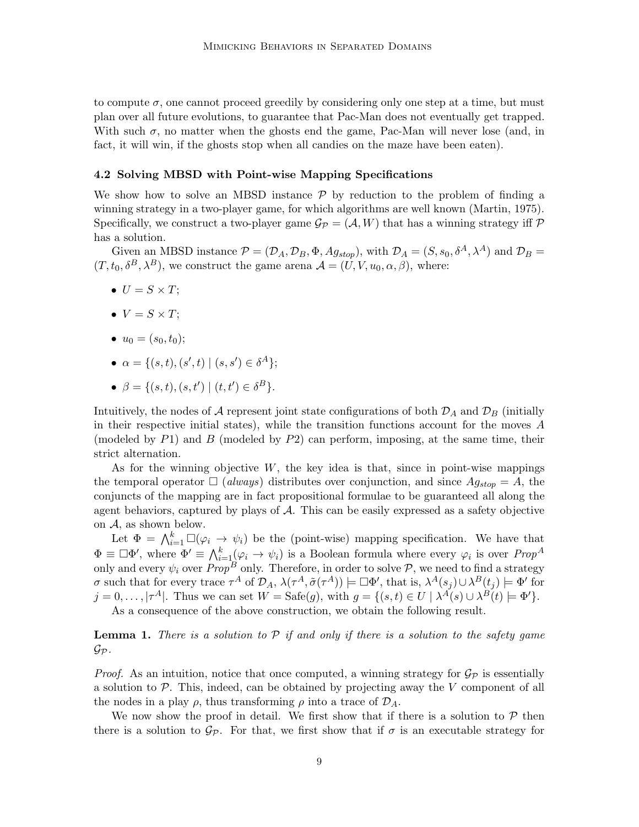to compute  $\sigma$ , one cannot proceed greedily by considering only one step at a time, but must plan over all future evolutions, to guarantee that Pac-Man does not eventually get trapped. With such  $\sigma$ , no matter when the ghosts end the game, Pac-Man will never lose (and, in fact, it will win, if the ghosts stop when all candies on the maze have been eaten).

## 4.2 Solving MBSD with Point-wise Mapping Specifications

We show how to solve an MBSD instance  $P$  by reduction to the problem of finding a winning strategy in a two-player game, for which algorithms are well known (Martin, 1975). Specifically, we construct a two-player game  $\mathcal{G}_{\mathcal{P}} = (\mathcal{A}, W)$  that has a winning strategy iff  $\mathcal{P}$ has a solution.

Given an MBSD instance  $\mathcal{P} = (\mathcal{D}_A, \mathcal{D}_B, \Phi, Ag_{stop})$ , with  $\mathcal{D}_A = (S, s_0, \delta^A, \lambda^A)$  and  $\mathcal{D}_B =$  $(T, t_0, \delta^B, \lambda^B)$ , we construct the game arena  $\mathcal{A} = (U, V, u_0, \alpha, \beta)$ , where:

- $U = S \times T$ :
- $V = S \times T$ :
- $u_0 = (s_0, t_0);$
- $\alpha = \{ (s, t), (s', t) \mid (s, s') \in \delta^A \};$
- $\beta = \{ (s, t), (s, t') \mid (t, t') \in \delta^B \}.$

Intuitively, the nodes of A represent joint state configurations of both  $\mathcal{D}_A$  and  $\mathcal{D}_B$  (initially in their respective initial states), while the transition functions account for the moves A (modeled by  $P1$ ) and  $B$  (modeled by  $P2$ ) can perform, imposing, at the same time, their strict alternation.

As for the winning objective  $W$ , the key idea is that, since in point-wise mappings the temporal operator  $\Box$  (always) distributes over conjunction, and since  $Ag_{stop} = A$ , the conjuncts of the mapping are in fact propositional formulae to be guaranteed all along the agent behaviors, captured by plays of A. This can be easily expressed as a safety objective on A, as shown below.

Let  $\Phi = \bigwedge_{i=1}^k \Box(\varphi_i \to \psi_i)$  be the (point-wise) mapping specification. We have that  $\Phi \equiv \Box \Phi'$ , where  $\Phi' \equiv \bigwedge_{i=1}^k (\varphi_i \to \psi_i)$  is a Boolean formula where every  $\varphi_i$  is over  $Prop^A$ only and every  $\psi_i$  over  $Prop^B$  only. Therefore, in order to solve  $\mathcal{P},$  we need to find a strategy *σ* such that for every trace τ<sup>A</sup> of  $\mathcal{D}_A$ ,  $\lambda(\tau^A, \tilde{\sigma}(\tau^A))$   $\models ⊡Φ'$ , that is,  $\lambda^A(s_j) ∪ \lambda^B(t_j)$   $\models Φ'$  for  $j = 0, \ldots, |\tau^A|$ . Thus we can set  $W = \text{Safe}(g)$ , with  $g = \{(s, t) \in U \mid \lambda^A(s) \cup \lambda^B(t) \models \Phi'\}.$ 

As a consequence of the above construction, we obtain the following result.

# **Lemma 1.** There is a solution to  $P$  if and only if there is a solution to the safety game  $\mathcal{G}_{\mathcal{P}}$  .

*Proof.* As an intuition, notice that once computed, a winning strategy for  $\mathcal{G}_{\mathcal{P}}$  is essentially a solution to  $P$ . This, indeed, can be obtained by projecting away the V component of all the nodes in a play  $\rho$ , thus transforming  $\rho$  into a trace of  $\mathcal{D}_A$ .

We now show the proof in detail. We first show that if there is a solution to  $\mathcal{P}$  then there is a solution to  $\mathcal{G}_{\mathcal{P}}$ . For that, we first show that if  $\sigma$  is an executable strategy for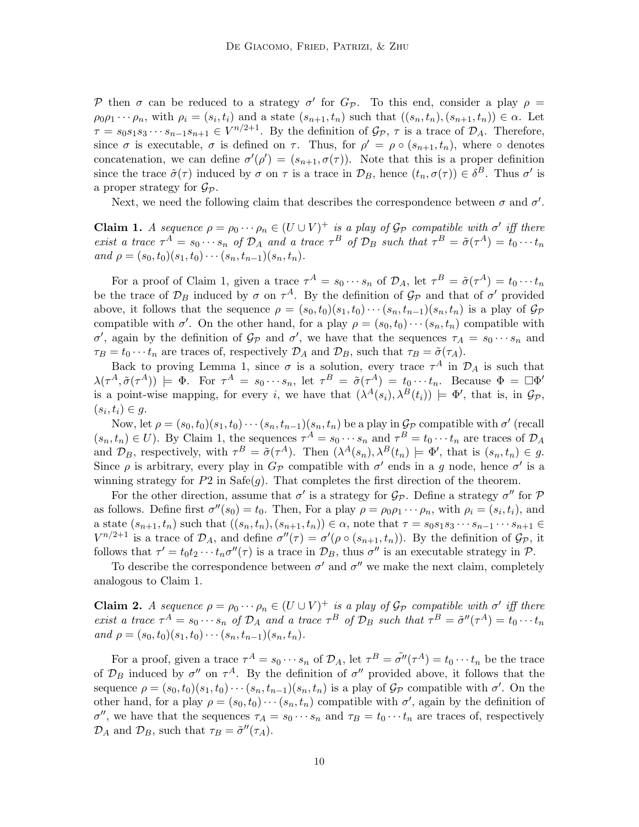P then  $\sigma$  can be reduced to a strategy  $\sigma'$  for  $G_{\mathcal{P}}$ . To this end, consider a play  $\rho =$  $\rho_0 \rho_1 \cdots \rho_n$ , with  $\rho_i = (s_i, t_i)$  and a state  $(s_{n+1}, t_n)$  such that  $((s_n, t_n), (s_{n+1}, t_n)) \in \alpha$ . Let  $\tau = s_0 s_1 s_3 \cdots s_{n-1} s_{n+1} \in V^{n/2+1}$ . By the definition of  $\mathcal{G}_{\mathcal{P}}$ ,  $\tau$  is a trace of  $\mathcal{D}_A$ . Therefore, since  $\sigma$  is executable,  $\sigma$  is defined on  $\tau$ . Thus, for  $\rho' = \rho \circ (s_{n+1}, t_n)$ , where  $\circ$  denotes concatenation, we can define  $\sigma'(\rho') = (s_{n+1}, \sigma(\tau))$ . Note that this is a proper definition since the trace  $\tilde{\sigma}(\tau)$  induced by  $\sigma$  on  $\tau$  is a trace in  $\mathcal{D}_B$ , hence  $(t_n, \sigma(\tau)) \in \delta^B$ . Thus  $\sigma'$  is a proper strategy for  $\mathcal{G}_{\mathcal{P}}$ .

Next, we need the following claim that describes the correspondence between  $\sigma$  and  $\sigma'$ .

**Claim 1.** A sequence  $\rho = \rho_0 \cdots \rho_n \in (U \cup V)^+$  is a play of  $\mathcal{G}_{\mathcal{P}}$  compatible with  $\sigma'$  iff there exist a trace  $\tau^A = s_0 \cdots s_n$  of  $\mathcal{D}_A$  and a trace  $\tau^B$  of  $\mathcal{D}_B$  such that  $\tau^B = \tilde{\sigma}(\tau^A) = t_0 \cdots t_n$ and  $\rho = (s_0, t_0)(s_1, t_0) \cdots (s_n, t_{n-1})(s_n, t_n).$ 

For a proof of Claim 1, given a trace  $\tau^A = s_0 \cdots s_n$  of  $\mathcal{D}_A$ , let  $\tau^B = \tilde{\sigma}(\tau^A) = t_0 \cdots t_n$ be the trace of  $\mathcal{D}_B$  induced by  $\sigma$  on  $\tau^A$ . By the definition of  $\mathcal{G}_{\mathcal{P}}$  and that of  $\sigma'$  provided above, it follows that the sequence  $\rho = (s_0, t_0)(s_1, t_0)\cdots(s_n, t_{n-1})(s_n, t_n)$  is a play of  $\mathcal{G}_{\mathcal{P}}$ compatible with  $\sigma'$ . On the other hand, for a play  $\rho = (s_0, t_0) \cdots (s_n, t_n)$  compatible with σ', again by the definition of  $\mathcal{G}_{\mathcal{P}}$  and  $\sigma'$ , we have that the sequences  $\tau_A = s_0 \cdots s_n$  and  $\tau_B = t_0 \cdots t_n$  are traces of, respectively  $\mathcal{D}_A$  and  $\mathcal{D}_B$ , such that  $\tau_B = \tilde{\sigma}(\tau_A)$ .

Back to proving Lemma 1, since  $\sigma$  is a solution, every trace  $\tau^A$  in  $\mathcal{D}_A$  is such that  $\lambda(\tau^A, \tilde{\sigma}(\tau^A)) \models \Phi$ . For  $\tau^A = s_0 \cdots s_n$ , let  $\tau^B = \tilde{\sigma}(\tau^A) = t_0 \cdots t_n$ . Because  $\Phi = \Box \Phi'$ is a point-wise mapping, for every i, we have that  $(\lambda^A(s_i), \lambda^B(t_i)) \models \Phi'$ , that is, in  $\mathcal{G}_{\mathcal{P}}$ ,  $(s_i,t_i)\in g.$ 

Now, let  $\rho = (s_0, t_0)(s_1, t_0) \cdots (s_n, t_{n-1})(s_n, t_n)$  be a play in  $\mathcal{G}_{\mathcal{P}}$  compatible with  $\sigma'$  (recall  $(s_n, t_n) \in U$ ). By Claim 1, the sequences  $\tau^A = s_0 \cdots s_n$  and  $\tau^B = t_0 \cdots t_n$  are traces of  $\mathcal{D}_A$ and  $\mathcal{D}_B$ , respectively, with  $\tau^B = \tilde{\sigma}(\tau^A)$ . Then  $(\lambda^A(s_n), \lambda^B(t_n) \models \Phi'$ , that is  $(s_n, t_n) \in g$ . Since  $\rho$  is arbitrary, every play in  $G_{\mathcal{P}}$  compatible with  $\sigma'$  ends in a g node, hence  $\sigma'$  is a winning strategy for  $P2$  in Safe(g). That completes the first direction of the theorem.

For the other direction, assume that  $\sigma'$  is a strategy for  $\mathcal{G}_{\mathcal{P}}$ . Define a strategy  $\sigma''$  for  $\mathcal P$ as follows. Define first  $\sigma''(s_0) = t_0$ . Then, For a play  $\rho = \rho_0 \rho_1 \cdots \rho_n$ , with  $\rho_i = (s_i, t_i)$ , and a state  $(s_{n+1}, t_n)$  such that  $((s_n, t_n), (s_{n+1}, t_n)) \in \alpha$ , note that  $\tau = s_0 s_1 s_3 \cdots s_{n-1} \cdots s_{n+1} \in$  $V^{n/2+1}$  is a trace of  $\mathcal{D}_A$ , and define  $\sigma''(\tau) = \sigma'(\rho \circ (s_{n+1}, t_n))$ . By the definition of  $\mathcal{G}_{\mathcal{P}}$ , it follows that  $\tau' = t_0 t_2 \cdots t_n \sigma''(\tau)$  is a trace in  $\mathcal{D}_B$ , thus  $\sigma''$  is an executable strategy in  $\mathcal{P}$ .

To describe the correspondence between  $\sigma'$  and  $\sigma''$  we make the next claim, completely analogous to Claim 1.

**Claim 2.** A sequence  $\rho = \rho_0 \cdots \rho_n \in (U \cup V)^+$  is a play of  $\mathcal{G}_{\mathcal{P}}$  compatible with  $\sigma'$  iff there exist a trace  $\tau^A = s_0 \cdots s_n$  of  $\mathcal{D}_A$  and a trace  $\tau^B$  of  $\mathcal{D}_B$  such that  $\tau^B = \tilde{\sigma}''(\tau^A) = t_0 \cdots t_n$ and  $\rho = (s_0, t_0)(s_1, t_0) \cdots (s_n, t_{n-1})(s_n, t_n).$ 

For a proof, given a trace  $\tau^A = s_0 \cdots s_n$  of  $\mathcal{D}_A$ , let  $\tau^B = \tilde{\sigma''}(\tau^A) = t_0 \cdots t_n$  be the trace of  $\mathcal{D}_B$  induced by  $\sigma''$  on  $\tau^A$ . By the definition of  $\sigma''$  provided above, it follows that the sequence  $\rho = (s_0, t_0)(s_1, t_0) \cdots (s_n, t_{n-1})(s_n, t_n)$  is a play of  $\mathcal{G}_{\mathcal{P}}$  compatible with  $\sigma'$ . On the other hand, for a play  $\rho = (s_0, t_0) \cdots (s_n, t_n)$  compatible with  $\sigma'$ , again by the definition of  $\sigma''$ , we have that the sequences  $\tau_A = s_0 \cdots s_n$  and  $\tau_B = t_0 \cdots t_n$  are traces of, respectively  $\mathcal{D}_A$  and  $\mathcal{D}_B$ , such that  $\tau_B = \tilde{\sigma}''(\tau_A)$ .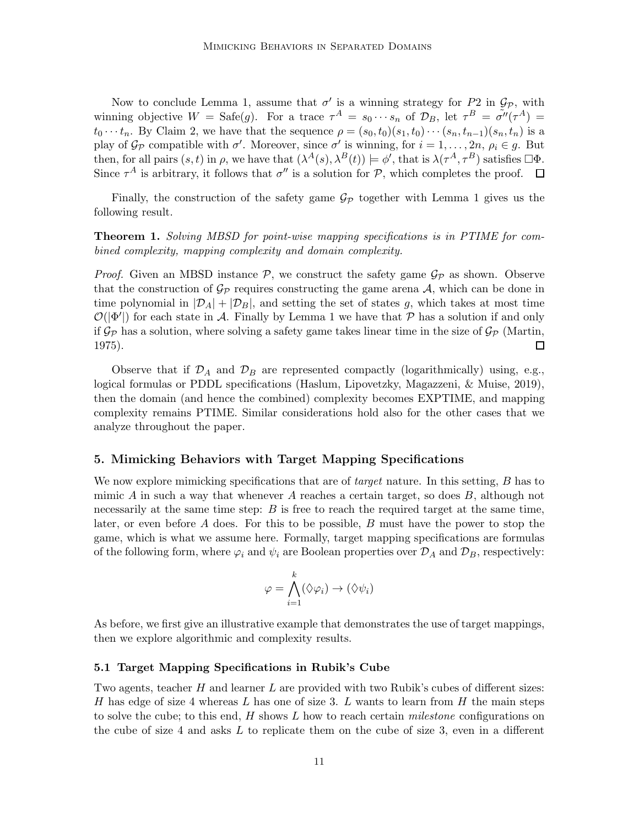Now to conclude Lemma 1, assume that  $\sigma'$  is a winning strategy for P2 in  $\mathcal{G}_{\mathcal{P}}$ , with winning objective  $W = \text{Safe}(g)$ . For a trace  $\tau^A = s_0 \cdots s_n$  of  $\mathcal{D}_B$ , let  $\tau^B = \tilde{\sigma''}(\tau^A) =$  $t_0 \cdots t_n$ . By Claim 2, we have that the sequence  $\rho = (s_0, t_0)(s_1, t_0) \cdots (s_n, t_{n-1})(s_n, t_n)$  is a play of  $\mathcal{G}_{\mathcal{P}}$  compatible with  $\sigma'$ . Moreover, since  $\sigma'$  is winning, for  $i = 1, \ldots, 2n$ ,  $\rho_i \in \mathcal{G}$ . But then, for all pairs  $(s, t)$  in  $\rho$ , we have that  $(\lambda^A(s), \lambda^B(t)) \models \phi'$ , that is  $\lambda(\tau^A, \tau^B)$  satisfies  $\Box \Phi$ . Since  $\tau^A$  is arbitrary, it follows that  $\sigma''$  is a solution for P, which completes the proof.  $\Box$ 

Finally, the construction of the safety game  $\mathcal{G}_{\mathcal{P}}$  together with Lemma 1 gives us the following result.

# Theorem 1. Solving MBSD for point-wise mapping specifications is in PTIME for combined complexity, mapping complexity and domain complexity.

*Proof.* Given an MBSD instance  $P$ , we construct the safety game  $\mathcal{G}_P$  as shown. Observe that the construction of  $\mathcal{G}_{\mathcal{P}}$  requires constructing the game arena  $\mathcal{A}$ , which can be done in time polynomial in  $|\mathcal{D}_A| + |\mathcal{D}_B|$ , and setting the set of states g, which takes at most time  $\mathcal{O}(|\Phi'|)$  for each state in A. Finally by Lemma 1 we have that P has a solution if and only if  $\mathcal{G}_{\mathcal{P}}$  has a solution, where solving a safety game takes linear time in the size of  $\mathcal{G}_{\mathcal{P}}$  (Martin, 1975). □

Observe that if  $\mathcal{D}_A$  and  $\mathcal{D}_B$  are represented compactly (logarithmically) using, e.g., logical formulas or PDDL specifications (Haslum, Lipovetzky, Magazzeni, & Muise, 2019), then the domain (and hence the combined) complexity becomes EXPTIME, and mapping complexity remains PTIME. Similar considerations hold also for the other cases that we analyze throughout the paper.

# 5. Mimicking Behaviors with Target Mapping Specifications

We now explore mimicking specifications that are of *target* nature. In this setting, B has to mimic A in such a way that whenever A reaches a certain target, so does  $B$ , although not necessarily at the same time step: B is free to reach the required target at the same time, later, or even before A does. For this to be possible,  $B$  must have the power to stop the game, which is what we assume here. Formally, target mapping specifications are formulas of the following form, where  $\varphi_i$  and  $\psi_i$  are Boolean properties over  $\mathcal{D}_A$  and  $\mathcal{D}_B$ , respectively:

$$
\varphi = \bigwedge_{i=1}^k (\Diamond \varphi_i) \to (\Diamond \psi_i)
$$

As before, we first give an illustrative example that demonstrates the use of target mappings, then we explore algorithmic and complexity results.

#### 5.1 Target Mapping Specifications in Rubik's Cube

Two agents, teacher H and learner L are provided with two Rubik's cubes of different sizes: H has edge of size 4 whereas L has one of size 3. L wants to learn from H the main steps to solve the cube; to this end,  $H$  shows  $L$  how to reach certain *milestone* configurations on the cube of size 4 and asks  $L$  to replicate them on the cube of size 3, even in a different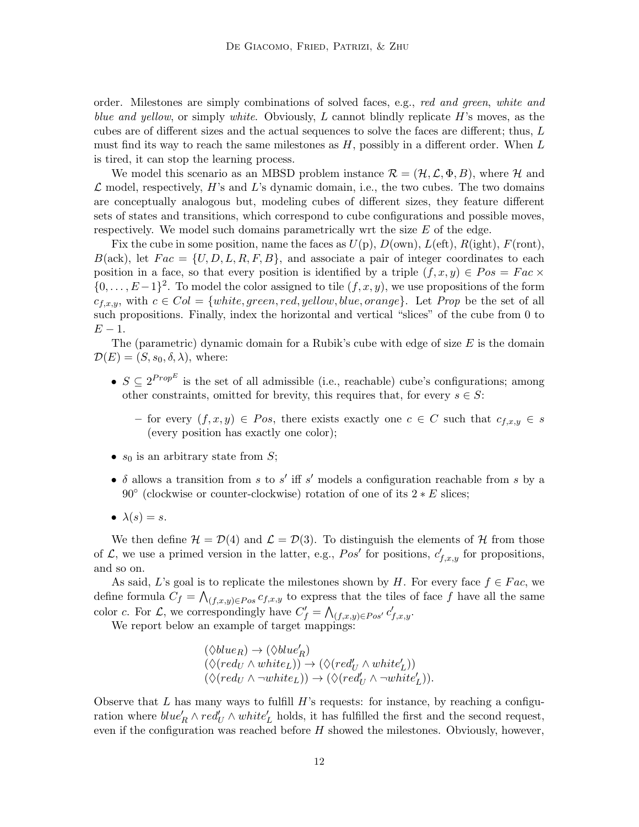order. Milestones are simply combinations of solved faces, e.g., red and green, white and blue and yellow, or simply white. Obviously, L cannot blindly replicate  $H$ 's moves, as the cubes are of different sizes and the actual sequences to solve the faces are different; thus, L must find its way to reach the same milestones as  $H$ , possibly in a different order. When  $L$ is tired, it can stop the learning process.

We model this scenario as an MBSD problem instance  $\mathcal{R} = (\mathcal{H}, \mathcal{L}, \Phi, B)$ , where  $\mathcal{H}$  and  $\mathcal L$  model, respectively, H's and L's dynamic domain, i.e., the two cubes. The two domains are conceptually analogous but, modeling cubes of different sizes, they feature different sets of states and transitions, which correspond to cube configurations and possible moves, respectively. We model such domains parametrically wrt the size  $E$  of the edge.

Fix the cube in some position, name the faces as  $U(p)$ ,  $D(\text{own})$ ,  $L(\text{eff})$ ,  $R(\text{ight})$ ,  $F(\text{ront})$ ,  $B(\text{ack})$ , let  $Fac = \{U, D, L, R, F, B\}$ , and associate a pair of integer coordinates to each position in a face, so that every position is identified by a triple  $(f, x, y) \in Pos = Fac \times$  $\{0,\ldots,E-1\}^2$ . To model the color assigned to tile  $(f,x,y)$ , we use propositions of the form  $c_{f,x,y}$ , with  $c \in Col = \{white, green, red, yellow, blue, orange\}$ . Let Prop be the set of all such propositions. Finally, index the horizontal and vertical "slices" of the cube from 0 to  $E-1$ .

The (parametric) dynamic domain for a Rubik's cube with edge of size  $E$  is the domain  $\mathcal{D}(E) = (S, s_0, \delta, \lambda)$ , where:

- $S \subseteq 2^{Prop^E}$  is the set of all admissible (i.e., reachable) cube's configurations; among other constraints, omitted for brevity, this requires that, for every  $s \in S$ :
	- for every  $(f, x, y) \in Pos$ , there exists exactly one  $c \in C$  such that  $c_{f,x,y} \in s$ (every position has exactly one color);
- $s_0$  is an arbitrary state from S;
- $\delta$  allows a transition from s to s' iff s' models a configuration reachable from s by a 90 $\textdegree$  (clockwise or counter-clockwise) rotation of one of its  $2 * E$  slices;
- $\lambda(s) = s$ .

We then define  $\mathcal{H} = \mathcal{D}(4)$  and  $\mathcal{L} = \mathcal{D}(3)$ . To distinguish the elements of H from those of  $\mathcal{L}$ , we use a primed version in the latter, e.g.,  $Pos'$  for positions,  $c'_{f,x,y}$  for propositions, and so on.

As said, L's goal is to replicate the milestones shown by H. For every face  $f \in Fac$ , we define formula  $C_f = \bigwedge_{(f,x,y)\in Pos} c_{f,x,y}$  to express that the tiles of face f have all the same color c. For  $\mathcal{L}$ , we correspondingly have  $C'_f = \bigwedge_{(f,x,y)\in Pos'} c'_{f,x,y}$ .

We report below an example of target mappings:

 $(\Diamond blue_R) \rightarrow (\Diamond blue_R')$  $(\Diamond (red_U \wedge white_L)) \rightarrow (\Diamond (red'_U \wedge white'_L))$  $(\Diamond (red_U \land \neg white_L)) \rightarrow (\Diamond (red'_U \land \neg white'_L)).$ 

Observe that  $L$  has many ways to fulfill  $H$ 's requests: for instance, by reaching a configuration where  $blue'_R \wedge red'_U \wedge white'_L$  holds, it has fulfilled the first and the second request, even if the configuration was reached before  $H$  showed the milestones. Obviously, however,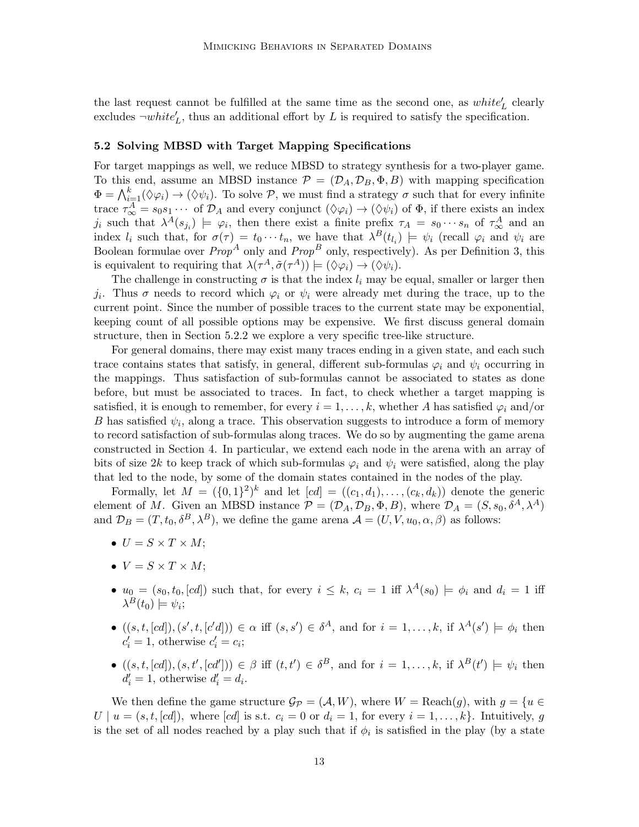the last request cannot be fulfilled at the same time as the second one, as  $white'_{L}$  clearly excludes  $\neg white'_{L}$ , thus an additional effort by L is required to satisfy the specification.

#### 5.2 Solving MBSD with Target Mapping Specifications

For target mappings as well, we reduce MBSD to strategy synthesis for a two-player game. To this end, assume an MBSD instance  $\mathcal{P} = (\mathcal{D}_A, \mathcal{D}_B, \Phi, B)$  with mapping specification  $\Phi = \bigwedge_{i=1}^k (\Diamond \varphi_i) \to (\Diamond \psi_i)$ . To solve  $P$ , we must find a strategy  $\sigma$  such that for every infinite trace  $\tau_{\infty}^A = s_0 s_1 \cdots$  of  $\mathcal{D}_A$  and every conjunct  $(\Diamond \varphi_i) \to (\Diamond \psi_i)$  of  $\Phi$ , if there exists an index  $j_i$  such that  $\lambda^A(s_{j_i}) \models \varphi_i$ , then there exist a finite prefix  $\tau_A = s_0 \cdots s_n$  of  $\tau^A_{\infty}$  and an index  $l_i$  such that, for  $\sigma(\tau) = t_0 \cdots t_n$ , we have that  $\lambda^B(t_{l_i}) \models \psi_i$  (recall  $\varphi_i$  and  $\psi_i$  are Boolean formulae over  $Prop^A$  only and  $Prop^B$  only, respectively). As per Definition 3, this is equivalent to requiring that  $\lambda(\tau^A, \tilde{\sigma}(\tau^A)) \models (\Diamond \varphi_i) \rightarrow (\Diamond \psi_i)$ .

The challenge in constructing  $\sigma$  is that the index  $l_i$  may be equal, smaller or larger then j<sub>i</sub>. Thus  $\sigma$  needs to record which  $\varphi_i$  or  $\psi_i$  were already met during the trace, up to the current point. Since the number of possible traces to the current state may be exponential, keeping count of all possible options may be expensive. We first discuss general domain structure, then in Section 5.2.2 we explore a very specific tree-like structure.

For general domains, there may exist many traces ending in a given state, and each such trace contains states that satisfy, in general, different sub-formulas  $\varphi_i$  and  $\psi_i$  occurring in the mappings. Thus satisfaction of sub-formulas cannot be associated to states as done before, but must be associated to traces. In fact, to check whether a target mapping is satisfied, it is enough to remember, for every  $i = 1, \ldots, k$ , whether A has satisfied  $\varphi_i$  and/or B has satisfied  $\psi_i$ , along a trace. This observation suggests to introduce a form of memory to record satisfaction of sub-formulas along traces. We do so by augmenting the game arena constructed in Section 4. In particular, we extend each node in the arena with an array of bits of size 2k to keep track of which sub-formulas  $\varphi_i$  and  $\psi_i$  were satisfied, along the play that led to the node, by some of the domain states contained in the nodes of the play.

Formally, let  $M = (\{0,1\}^2)^k$  and let  $[cd] = ((c_1, d_1), \ldots, (c_k, d_k))$  denote the generic element of M. Given an MBSD instance  $\mathcal{P} = (\mathcal{D}_A, \mathcal{D}_B, \Phi, B)$ , where  $\mathcal{D}_A = (S, s_0, \delta^A, \lambda^A)$ and  $\mathcal{D}_B = (T, t_0, \delta^B, \lambda^B)$ , we define the game arena  $\mathcal{A} = (U, V, u_0, \alpha, \beta)$  as follows:

- $U = S \times T \times M$ :
- $V = S \times T \times M$ ;
- $u_0 = (s_0, t_0, [cd])$  such that, for every  $i \leq k$ ,  $c_i = 1$  iff  $\lambda^A(s_0) \models \phi_i$  and  $d_i = 1$  iff  $\lambda^{B}(t_0) \models \psi_i;$
- $\bullet$   $((s,t,[cd]),(s',t,[c'd])) \in \alpha$  iff  $(s,s') \in \delta^A$ , and for  $i=1,\ldots,k$ , if  $\lambda^A(s') \models \phi_i$  then  $c'_i = 1$ , otherwise  $c'_i = c_i$ ;
- $((s, t, [cd]), (s, t', [cd']) \in \beta \text{ iff } (t, t') \in \delta^B, \text{ and for } i = 1, \ldots, k, \text{ if } \lambda^B(t') \models \psi_i \text{ then }$  $d'_i = 1$ , otherwise  $d'_i = d_i$ .

We then define the game structure  $\mathcal{G}_{\mathcal{P}} = (\mathcal{A}, W)$ , where  $W = \text{Reach}(g)$ , with  $g = \{u \in$  $U \mid u = (s, t, [cd]),$  where  $[cd]$  is s.t.  $c_i = 0$  or  $d_i = 1$ , for every  $i = 1, \ldots, k$ . Intuitively, g is the set of all nodes reached by a play such that if  $\phi_i$  is satisfied in the play (by a state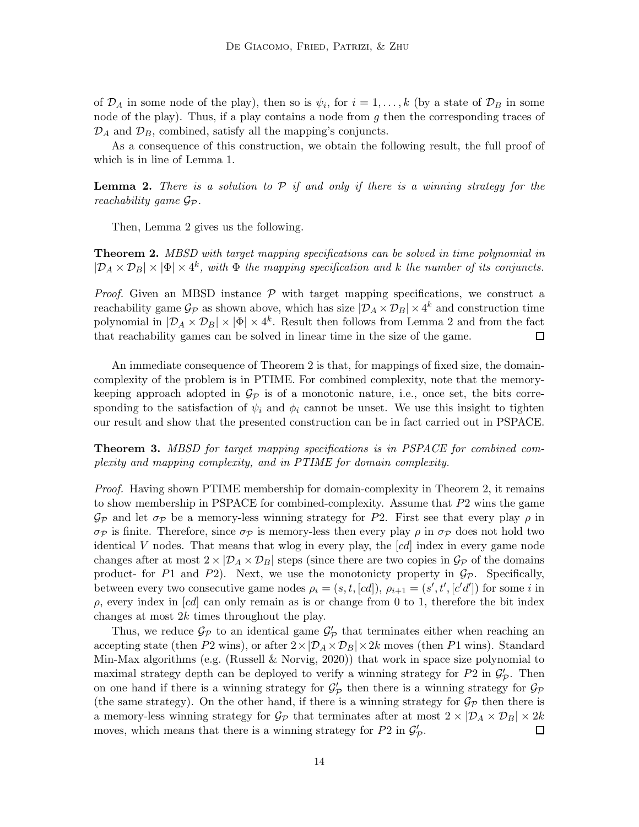of  $\mathcal{D}_A$  in some node of the play), then so is  $\psi_i$ , for  $i = 1, ..., k$  (by a state of  $\mathcal{D}_B$  in some node of the play). Thus, if a play contains a node from  $g$  then the corresponding traces of  $\mathcal{D}_A$  and  $\mathcal{D}_B$ , combined, satisfy all the mapping's conjuncts.

As a consequence of this construction, we obtain the following result, the full proof of which is in line of Lemma 1.

**Lemma 2.** There is a solution to  $P$  if and only if there is a winning strategy for the reachability game  $\mathcal{G}_{\mathcal{P}}$ .

Then, Lemma 2 gives us the following.

**Theorem 2.** MBSD with target mapping specifications can be solved in time polynomial in  $|\mathcal{D}_A \times \mathcal{D}_B| \times |\Phi| \times 4^k$ , with  $\Phi$  the mapping specification and k the number of its conjuncts.

*Proof.* Given an MBSD instance  $P$  with target mapping specifications, we construct a reachability game  $\mathcal{G}_{\mathcal{P}}$  as shown above, which has size  $|\mathcal{D}_A \times \mathcal{D}_B| \times 4^k$  and construction time polynomial in  $|\mathcal{D}_A \times \mathcal{D}_B| \times |\Phi| \times 4^k$ . Result then follows from Lemma 2 and from the fact that reachability games can be solved in linear time in the size of the game.  $\Box$ 

An immediate consequence of Theorem 2 is that, for mappings of fixed size, the domaincomplexity of the problem is in PTIME. For combined complexity, note that the memorykeeping approach adopted in  $\mathcal{G}_{\mathcal{P}}$  is of a monotonic nature, i.e., once set, the bits corresponding to the satisfaction of  $\psi_i$  and  $\phi_i$  cannot be unset. We use this insight to tighten our result and show that the presented construction can be in fact carried out in PSPACE.

Theorem 3. MBSD for target mapping specifications is in PSPACE for combined complexity and mapping complexity, and in PTIME for domain complexity.

Proof. Having shown PTIME membership for domain-complexity in Theorem 2, it remains to show membership in PSPACE for combined-complexity. Assume that P2 wins the game  $\mathcal{G}_{\mathcal{P}}$  and let  $\sigma_{\mathcal{P}}$  be a memory-less winning strategy for P2. First see that every play  $\rho$  in  $\sigma_{\mathcal{P}}$  is finite. Therefore, since  $\sigma_{\mathcal{P}}$  is memory-less then every play  $\rho$  in  $\sigma_{\mathcal{P}}$  does not hold two identical V nodes. That means that wlog in every play, the [cd] index in every game node changes after at most  $2 \times |\mathcal{D}_A \times \mathcal{D}_B|$  steps (since there are two copies in  $\mathcal{G}_{\mathcal{P}}$  of the domains product- for P1 and P2). Next, we use the monotonicty property in  $\mathcal{G}_{\mathcal{P}}$ . Specifically, between every two consecutive game nodes  $\rho_i = (s, t, [cd]), \rho_{i+1} = (s', t', [c'd'])$  for some i in  $\rho$ , every index in [cd] can only remain as is or change from 0 to 1, therefore the bit index changes at most 2k times throughout the play.

Thus, we reduce  $\mathcal{G}_{\mathcal{P}}$  to an identical game  $\mathcal{G}'_{\mathcal{P}}$  that terminates either when reaching an accepting state (then P2 wins), or after  $2 \times |\mathcal{D}_A \times \mathcal{D}_B| \times 2k$  moves (then P1 wins). Standard Min-Max algorithms (e.g. (Russell  $\&$  Norvig, 2020)) that work in space size polynomial to maximal strategy depth can be deployed to verify a winning strategy for  $P2$  in  $\mathcal{G}'_{\mathcal{P}}$ . Then on one hand if there is a winning strategy for  $\mathcal{G}'_{\mathcal{P}}$  then there is a winning strategy for  $\mathcal{G}_{\mathcal{P}}$ (the same strategy). On the other hand, if there is a winning strategy for  $\mathcal{G}_{\mathcal{P}}$  then there is a memory-less winning strategy for  $\mathcal{G}_{\mathcal{P}}$  that terminates after at most  $2 \times |\mathcal{D}_A \times \mathcal{D}_B| \times 2k$ moves, which means that there is a winning strategy for  $P2$  in  $\mathcal{G}'_{\mathcal{P}}$ . □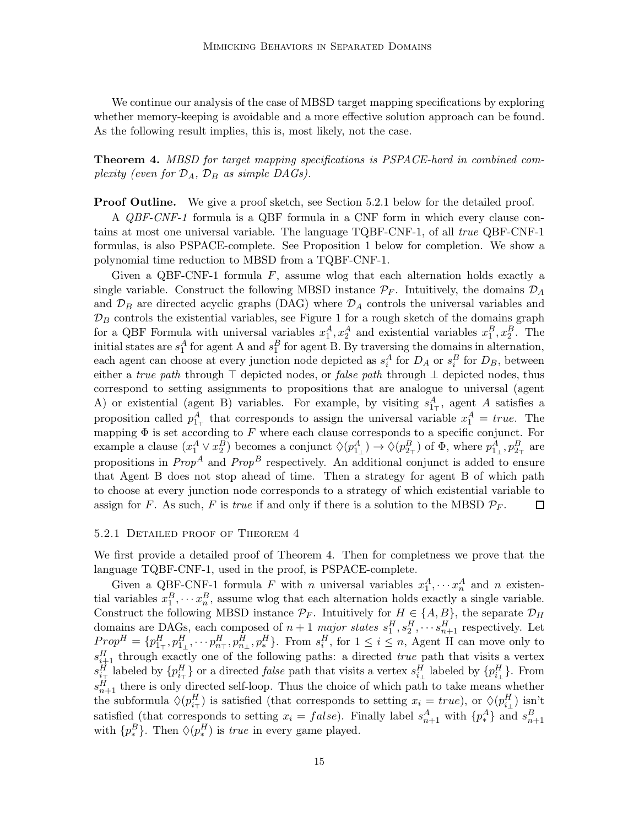We continue our analysis of the case of MBSD target mapping specifications by exploring whether memory-keeping is avoidable and a more effective solution approach can be found. As the following result implies, this is, most likely, not the case.

Theorem 4. MBSD for target mapping specifications is PSPACE-hard in combined complexity (even for  $\mathcal{D}_A$ ,  $\mathcal{D}_B$  as simple DAGs).

**Proof Outline.** We give a proof sketch, see Section 5.2.1 below for the detailed proof.

A QBF-CNF-1 formula is a QBF formula in a CNF form in which every clause contains at most one universal variable. The language TQBF-CNF-1, of all true QBF-CNF-1 formulas, is also PSPACE-complete. See Proposition 1 below for completion. We show a polynomial time reduction to MBSD from a TQBF-CNF-1.

Given a QBF-CNF-1 formula  $F$ , assume wlog that each alternation holds exactly a single variable. Construct the following MBSD instance  $\mathcal{P}_F$ . Intuitively, the domains  $\mathcal{D}_A$ and  $\mathcal{D}_B$  are directed acyclic graphs (DAG) where  $\mathcal{D}_A$  controls the universal variables and  $\mathcal{D}_B$  controls the existential variables, see Figure 1 for a rough sketch of the domains graph for a QBF Formula with universal variables  $x_1^A, x_2^A$  and existential variables  $x_1^B, x_2^B$ . The initial states are  $s_1^A$  for agent A and  $s_1^B$  for agent B. By traversing the domains in alternation, each agent can choose at every junction node depicted as  $s_i^A$  for  $D_A$  or  $s_i^B$  for  $D_B$ , between either a true path through  $\top$  depicted nodes, or *false path* through  $\bot$  depicted nodes, thus correspond to setting assignments to propositions that are analogue to universal (agent A) or existential (agent B) variables. For example, by visiting  $s_{1}^A$ , agent A satisfies a proposition called  $p_{1\tau}^A$  that corresponds to assign the universal variable  $x_1^A = true$ . The mapping  $\Phi$  is set according to F where each clause corresponds to a specific conjunct. For example a clause  $(x_1^A \vee x_2^B)$  becomes a conjunct  $\Diamond(p_{1_\perp}^A) \to \Diamond(p_{2_\perp}^B)$  of  $\Phi$ , where  $p_{1_\perp}^A$ ,  $p_{2_\perp}^B$  are propositions in  $Prop^A$  and  $Prop^B$  respectively. An additional conjunct is added to ensure that Agent B does not stop ahead of time. Then a strategy for agent B of which path to choose at every junction node corresponds to a strategy of which existential variable to assign for F. As such, F is true if and only if there is a solution to the MBSD  $\mathcal{P}_F$ .  $\Box$ 

#### 5.2.1 Detailed proof of Theorem 4

We first provide a detailed proof of Theorem 4. Then for completness we prove that the language TQBF-CNF-1, used in the proof, is PSPACE-complete.

Given a QBF-CNF-1 formula F with n universal variables  $x_1^A, \dots, x_n^A$  and n existential variables  $x_1^B, \dots, x_n^B$ , assume wlog that each alternation holds exactly a single variable. Construct the following MBSD instance  $\mathcal{P}_F$ . Intuitively for  $H \in \{A, B\}$ , the separate  $\mathcal{D}_H$ domains are DAGs, each composed of  $n+1$  major states  $s_1^H, s_2^H, \cdots s_{n+1}^H$  respectively. Let  $Prop^H = \{p_{1\mp}^H, p_{1\perp}^H, \cdots, p_{n\pm}^H, p_{n\perp}^H, p_*^H\}$ . From  $s_i^H$ , for  $1 \le i \le n$ , Agent H can move only to  $s_{i+1}^H$  through exactly one of the following paths: a directed true path that visits a vertex  $s_{i_{\perp}}^H$  labeled by  $\{p_{i_{\perp}}^H\}$  or a directed *false* path that visits a vertex  $s_{i_{\perp}}^H$  labeled by  $\{p_{i_{\perp}}^H\}$ . From  $s_{n+1}^H$  there is only directed self-loop. Thus the choice of which path to take means whether the subformula  $\Diamond(p_{i\tau}^H)$  is satisfied (that corresponds to setting  $x_i = true$ ), or  $\Diamond(p_{i\perp}^H)$  isn't satisfied (that corresponds to setting  $x_i = false$ ). Finally label  $s_{n+1}^A$  with  $\{p_*^A\}$  and  $s_{n+1}^B$ with  $\{p_*^B\}$ . Then  $\Diamond(p_*^H)$  is *true* in every game played.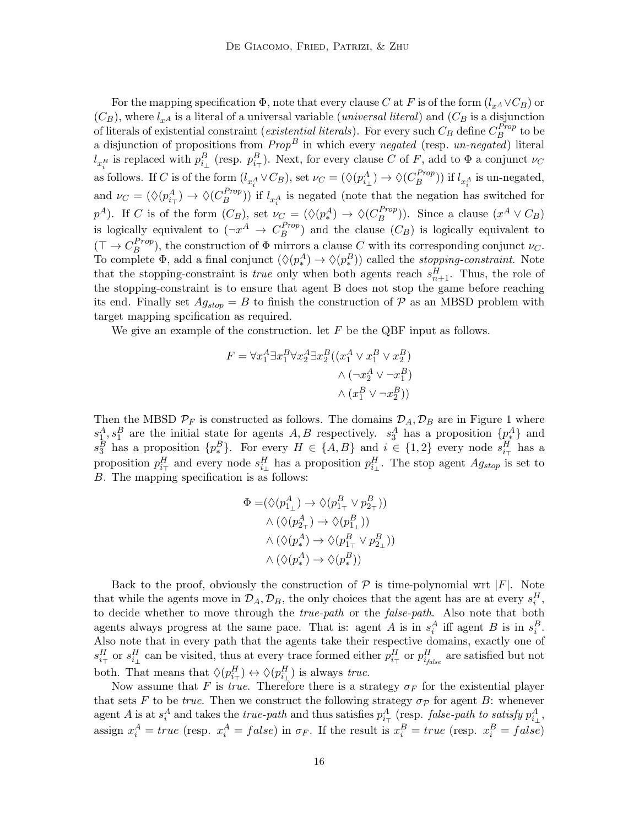For the mapping specification  $\Phi$ , note that every clause C at F is of the form  $(l_{x} \land \lor C_B)$  or  $(C_B)$ , where  $l_{x^A}$  is a literal of a universal variable (*universal literal*) and  $(C_B$  is a disjunction of literals of existential constraint (*existential literals*). For every such  $C_B$  define  $C_B^{Prop}$  $B^{rrop}$  to be a disjunction of propositions from  $Prop^B$  in which every negated (resp. un-negated) literal  $l_{x_i^B}$  is replaced with  $p_{i_\perp}^B$  (resp.  $p_{i_\perp}^B$ ). Next, for every clause C of F, add to  $\Phi$  a conjunct  $\nu_C$ as follows. If C is of the form  $(l_{x_i^A} \vee C_B)$ , set  $\nu_C = (\Diamond (p_{i_\perp}^A) \to \Diamond (C_B^{Prop})$ and  $\nu_C = (\Diamond(p_{i\tau}^A) \to \Diamond(C_B^{Prop}))$  if  $l_{x_i^A}$  is negated (note that the negation h  $\binom{Prop}{B}$ ) if  $l_{x_i^A}$  is un-negated,  $\binom{Frop}{B}$ ) if  $l_{x_i^A}$  is negated (note that the negation has switched for  $p^A$ ). If C is of the form  $(C_B)$ , set  $\nu_C = (\Diamond(p^A_*) \to \Diamond(C_B^{Prop})$  $\binom{Prop}{B}$ ). Since a clause  $(x^A \vee C_B)$ is logically equivalent to  $(\neg x^A \rightarrow C_B^{Prop})$  $\binom{Frop}{B}$  and the clause  $(C_B)$  is logically equivalent to  $(\top \to C_R^{Prop})$  $B_B^{(Prop)}$ , the construction of  $\Phi$  mirrors a clause C with its corresponding conjunct  $\nu_C$ . To complete  $\Phi$ , add a final conjunct  $(\Diamond (p^A_*) \to \Diamond (p^B_*) )$  called the *stopping-constraint*. Note that the stopping-constraint is *true* only when both agents reach  $s_{n+1}^H$ . Thus, the role of the stopping-constraint is to ensure that agent B does not stop the game before reaching its end. Finally set  $Ag_{stop} = B$  to finish the construction of  $P$  as an MBSD problem with target mapping spcification as required.

We give an example of the construction. let  $F$  be the QBF input as follows.

$$
F = \forall x_1^A \exists x_1^B \forall x_2^A \exists x_2^B ((x_1^A \lor x_1^B \lor x_2^B)
$$

$$
\land (\neg x_2^A \lor \neg x_1^B)
$$

$$
\land (x_1^B \lor \neg x_2^B))
$$

Then the MBSD  $\mathcal{P}_F$  is constructed as follows. The domains  $\mathcal{D}_A, \mathcal{D}_B$  are in Figure 1 where  $s_1^A, s_1^B$  are the initial state for agents A, B respectively.  $s_3^A$  has a proposition  $\{p_{\ast}^A\}$  and  $s_3^B$  has a proposition  $\{p_*^B\}$ . For every  $H \in \{A, B\}$  and  $i \in \{1, 2\}$  every node  $s_{i_{\tau}}^H$  has a proposition  $p_{i\tau}^H$  and every node  $s_{i\perp}^H$  has a proposition  $p_{i\perp}^H$ . The stop agent  $Ag_{stop}$  is set to B. The mapping specification is as follows:

$$
\Phi = (\Diamond (p_{1_\perp}^A) \to \Diamond (p_{1_\top}^B \lor p_{2_\top}^B))
$$
  

$$
\land (\Diamond (p_{2_\top}^A) \to \Diamond (p_{1_\perp}^B))
$$
  

$$
\land (\Diamond (p_{\ast}^A) \to \Diamond (p_{1_\top}^B \lor p_{2_\perp}^B))
$$
  

$$
\land (\Diamond (p_{\ast}^A) \to \Diamond (p_{\ast}^B))
$$

Back to the proof, obviously the construction of  $P$  is time-polynomial wrt |F|. Note that while the agents move in  $\mathcal{D}_A$ ,  $\mathcal{D}_B$ , the only choices that the agent has are at every  $s_i^H$ , to decide whether to move through the *true-path* or the *false-path*. Also note that both agents always progress at the same pace. That is: agent A is in  $s_i^A$  iff agent B is in  $s_i^B$ . Also note that in every path that the agents take their respective domains, exactly one of  $s_{i_{\perp}}^H$  or  $s_{i_{\perp}}^H$  can be visited, thus at every trace formed either  $p_{i_{\perp}}^H$  or  $p_{i_{false}}^H$  are satisfied but not both. That means that  $\Diamond(p_{i\tau}^H) \leftrightarrow \Diamond(p_{i\bot}^H)$  is always true.

Now assume that F is true. Therefore there is a strategy  $\sigma_F$  for the existential player that sets F to be true. Then we construct the following strategy  $\sigma_{\mathcal{P}}$  for agent B: whenever agent A is at  $s_i^A$  and takes the *true-path* and thus satisfies  $p_{i_\perp}^A$  (resp. *false-path to satisfy*  $p_{i_\perp}^A$ , assign  $x_i^A = true$  (resp.  $x_i^A = false$ ) in  $\sigma_F$ . If the result is  $x_i^B = true$  (resp.  $x_i^B = false$ )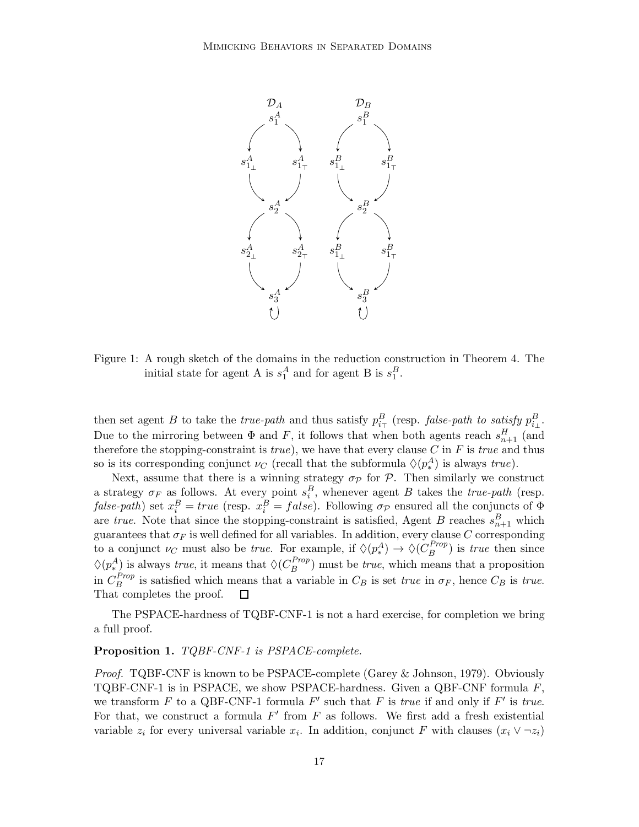

Figure 1: A rough sketch of the domains in the reduction construction in Theorem 4. The initial state for agent A is  $s_1^A$  and for agent B is  $s_1^B$ .

then set agent B to take the *true-path* and thus satisfy  $p_{i_{\top}}^B$  (resp. *false-path to satisfy*  $p_{i_{\perp}}^B$ . Due to the mirroring between  $\Phi$  and F, it follows that when both agents reach  $s_{n+1}^H$  (and therefore the stopping-constraint is  $true$ ), we have that every clause C in F is true and thus so is its corresponding conjunct  $\nu_C$  (recall that the subformula  $\Diamond(p_*^A)$  is always  $true$ ).

Next, assume that there is a winning strategy  $\sigma_p$  for  $\mathcal P$ . Then similarly we construct a strategy  $\sigma_F$  as follows. At every point  $s_i^B$ , whenever agent B takes the *true-path* (resp. false-path) set  $x_i^B = true$  (resp.  $x_i^B = false$ ). Following  $\sigma_{\mathcal{P}}$  ensured all the conjuncts of  $\Phi$ are true. Note that since the stopping-constraint is satisfied, Agent B reaches  $s_{n+1}^B$  which guarantees that  $\sigma_F$  is well defined for all variables. In addition, every clause C corresponding to a conjunct  $\nu_C$  must also be *true*. For example, if  $\Diamond(p_*^A) \to \Diamond(C_B^{Prop})$  $\binom{rrop}{B}$  is *true* then since  $\Diamond(p_*^A)$  is always *true*, it means that  $\Diamond(C_B^{Prop})$  $\binom{Frop}{B}$  must be *true*, which means that a proposition in  $C_B^{Prop}$  $E_B^{trop}$  is satisfied which means that a variable in  $C_B$  is set true in  $\sigma_F$ , hence  $C_B$  is true. That completes the proof.  $\Box$ 

The PSPACE-hardness of TQBF-CNF-1 is not a hard exercise, for completion we bring a full proof.

## Proposition 1. TQBF-CNF-1 is PSPACE-complete.

Proof. TQBF-CNF is known to be PSPACE-complete (Garey & Johnson, 1979). Obviously TQBF-CNF-1 is in PSPACE, we show PSPACE-hardness. Given a QBF-CNF formula F, we transform  $F$  to a QBF-CNF-1 formula  $F'$  such that  $F$  is *true* if and only if  $F'$  is *true*. For that, we construct a formula  $F'$  from  $F$  as follows. We first add a fresh existential variable  $z_i$  for every universal variable  $x_i$ . In addition, conjunct F with clauses  $(x_i \vee \neg z_i)$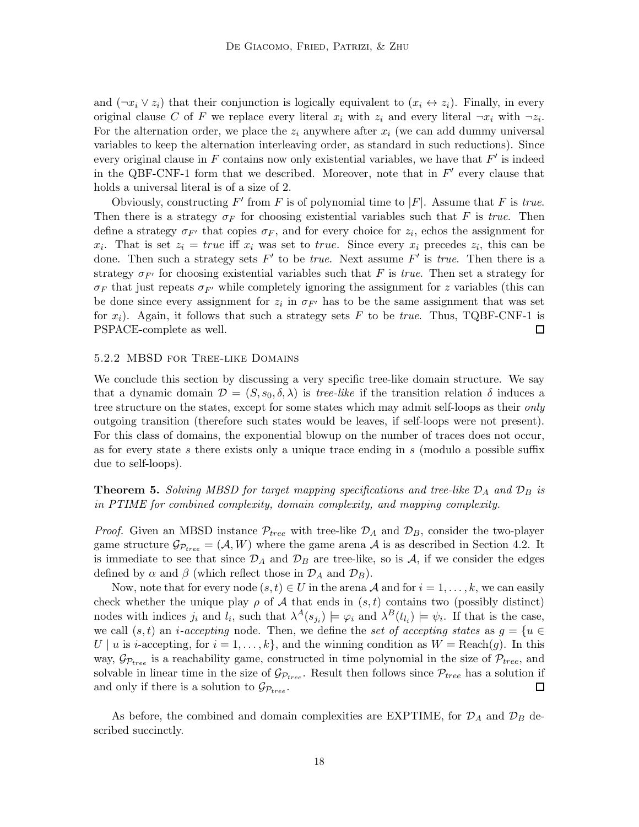and  $(\neg x_i \vee z_i)$  that their conjunction is logically equivalent to  $(x_i \leftrightarrow z_i)$ . Finally, in every original clause C of F we replace every literal  $x_i$  with  $z_i$  and every literal  $\neg x_i$  with  $\neg z_i$ . For the alternation order, we place the  $z_i$  anywhere after  $x_i$  (we can add dummy universal variables to keep the alternation interleaving order, as standard in such reductions). Since every original clause in  $F$  contains now only existential variables, we have that  $F'$  is indeed in the QBF-CNF-1 form that we described. Moreover, note that in  $F'$  every clause that holds a universal literal is of a size of 2.

Obviously, constructing  $F'$  from  $F$  is of polynomial time to  $|F|$ . Assume that  $F$  is true. Then there is a strategy  $\sigma_F$  for choosing existential variables such that F is true. Then define a strategy  $\sigma_{F'}$  that copies  $\sigma_F$ , and for every choice for  $z_i$ , echos the assignment for  $x_i$ . That is set  $z_i = true$  iff  $x_i$  was set to true. Since every  $x_i$  precedes  $z_i$ , this can be done. Then such a strategy sets  $F'$  to be *true*. Next assume  $F'$  is *true*. Then there is a strategy  $\sigma_{F'}$  for choosing existential variables such that F is true. Then set a strategy for  $\sigma_F$  that just repeats  $\sigma_{F'}$  while completely ignoring the assignment for z variables (this can be done since every assignment for  $z_i$  in  $\sigma_{F'}$  has to be the same assignment that was set for  $x_i$ ). Again, it follows that such a strategy sets F to be true. Thus, TQBF-CNF-1 is □ PSPACE-complete as well.

#### 5.2.2 MBSD for Tree-like Domains

We conclude this section by discussing a very specific tree-like domain structure. We say that a dynamic domain  $\mathcal{D} = (S, s_0, \delta, \lambda)$  is *tree-like* if the transition relation  $\delta$  induces a tree structure on the states, except for some states which may admit self-loops as their *only* outgoing transition (therefore such states would be leaves, if self-loops were not present). For this class of domains, the exponential blowup on the number of traces does not occur, as for every state s there exists only a unique trace ending in s (modulo a possible suffix due to self-loops).

**Theorem 5.** Solving MBSD for target mapping specifications and tree-like  $\mathcal{D}_A$  and  $\mathcal{D}_B$  is in PTIME for combined complexity, domain complexity, and mapping complexity.

*Proof.* Given an MBSD instance  $\mathcal{P}_{tree}$  with tree-like  $\mathcal{D}_A$  and  $\mathcal{D}_B$ , consider the two-player game structure  $\mathcal{G}_{\mathcal{P}_{tree}} = (\mathcal{A}, W)$  where the game arena  $\mathcal{A}$  is as described in Section 4.2. It is immediate to see that since  $\mathcal{D}_A$  and  $\mathcal{D}_B$  are tree-like, so is A, if we consider the edges defined by  $\alpha$  and  $\beta$  (which reflect those in  $\mathcal{D}_A$  and  $\mathcal{D}_B$ ).

Now, note that for every node  $(s, t) \in U$  in the arena A and for  $i = 1, \ldots, k$ , we can easily check whether the unique play  $\rho$  of A that ends in  $(s, t)$  contains two (possibly distinct) nodes with indices  $j_i$  and  $l_i$ , such that  $\lambda^A(s_{j_i}) \models \varphi_i$  and  $\lambda^B(t_{l_i}) \models \psi_i$ . If that is the case, we call  $(s, t)$  an *i-accepting* node. Then, we define the set of accepting states as  $g = \{u \in$ U | u is i-accepting, for  $i = 1, \ldots, k$ , and the winning condition as  $W = \text{Reach}(g)$ . In this way,  $\mathcal{G}_{\mathcal{P}_{tree}}$  is a reachability game, constructed in time polynomial in the size of  $\mathcal{P}_{tree}$ , and solvable in linear time in the size of  $\mathcal{G}_{\mathcal{P}_{tree}}$ . Result then follows since  $\mathcal{P}_{tree}$  has a solution if and only if there is a solution to  $\mathcal{G}_{\mathcal{P}_{tree}}$ . 口

As before, the combined and domain complexities are EXPTIME, for  $\mathcal{D}_A$  and  $\mathcal{D}_B$  described succinctly.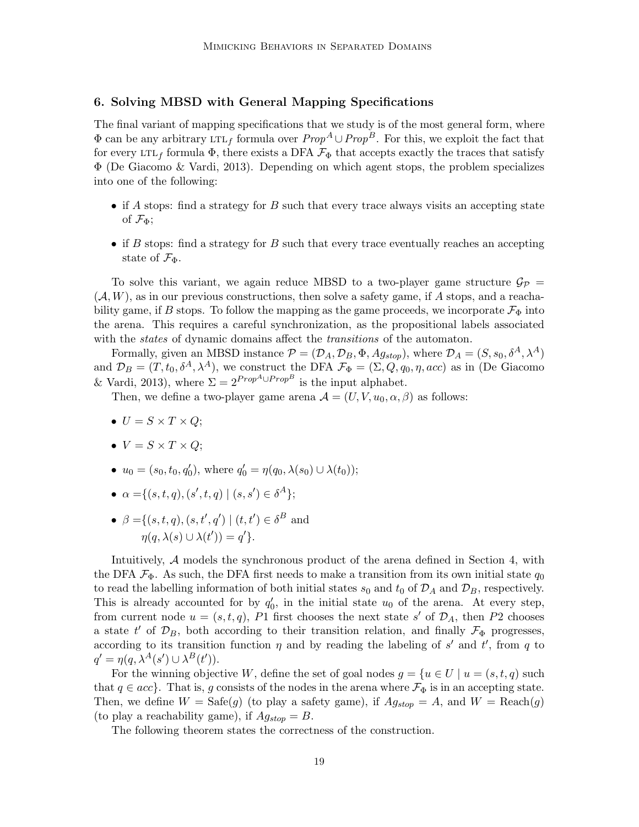# 6. Solving MBSD with General Mapping Specifications

The final variant of mapping specifications that we study is of the most general form, where  $\Phi$  can be any arbitrary LTL<sub>f</sub> formula over  $Prop^A \cup Prop^B$ . For this, we exploit the fact that for every LTL<sub>f</sub> formula  $\Phi$ , there exists a DFA  $\mathcal{F}_{\Phi}$  that accepts exactly the traces that satisfy Φ (De Giacomo & Vardi, 2013). Depending on which agent stops, the problem specializes into one of the following:

- if  $A$  stops: find a strategy for  $B$  such that every trace always visits an accepting state of  $\mathcal{F}_{\Phi}$ ;
- if B stops: find a strategy for B such that every trace eventually reaches an accepting state of  $\mathcal{F}_{\Phi}$ .

To solve this variant, we again reduce MBSD to a two-player game structure  $\mathcal{G}_{\mathcal{P}} =$  $(\mathcal{A}, W)$ , as in our previous constructions, then solve a safety game, if A stops, and a reachability game, if B stops. To follow the mapping as the game proceeds, we incorporate  $\mathcal{F}_{\Phi}$  into the arena. This requires a careful synchronization, as the propositional labels associated with the *states* of dynamic domains affect the *transitions* of the automaton.

Formally, given an MBSD instance  $\mathcal{P} = (\mathcal{D}_A, \mathcal{D}_B, \Phi, Ag_{stop})$ , where  $\mathcal{D}_A = (S, s_0, \delta^A, \lambda^A)$ and  $\mathcal{D}_B = (T, t_0, \delta^A, \lambda^A)$ , we construct the DFA  $\mathcal{F}_{\Phi} = (\Sigma, Q, q_0, \eta, acc)$  as in (De Giacomo & Vardi, 2013), where  $\Sigma = 2^{Prop^A \cup Prop^B}$  is the input alphabet.

Then, we define a two-player game arena  $\mathcal{A} = (U, V, u_0, \alpha, \beta)$  as follows:

- $U = S \times T \times Q$ ;
- $V = S \times T \times Q$ ;
- $u_0 = (s_0, t_0, q'_0)$ , where  $q'_0 = \eta(q_0, \lambda(s_0) \cup \lambda(t_0));$
- $\alpha = \{(s, t, q), (s', t, q) \mid (s, s') \in \delta^A\};$
- $\beta = \{(s, t, q), (s, t', q') | (t, t') \in \delta^B \text{ and }$  $\eta(q, \lambda(s) \cup \lambda(t')) = q'$ .

Intuitively, A models the synchronous product of the arena defined in Section 4, with the DFA  $\mathcal{F}_{\Phi}$ . As such, the DFA first needs to make a transition from its own initial state  $q_0$ to read the labelling information of both initial states  $s_0$  and  $t_0$  of  $\mathcal{D}_A$  and  $\mathcal{D}_B$ , respectively. This is already accounted for by  $q'_0$ , in the initial state  $u_0$  of the arena. At every step, from current node  $u = (s, t, q)$ , P1 first chooses the next state s' of  $\mathcal{D}_A$ , then P2 chooses a state  $t'$  of  $\mathcal{D}_B$ , both according to their transition relation, and finally  $\mathcal{F}_{\Phi}$  progresses, according to its transition function  $\eta$  and by reading the labeling of s' and t', from q to  $q' = \eta(q, \lambda^A(s') \cup \lambda^B(t')).$ 

For the winning objective W, define the set of goal nodes  $g = \{u \in U \mid u = (s, t, q) \text{ such }$ that  $q \in acc$ . That is, g consists of the nodes in the arena where  $\mathcal{F}_{\Phi}$  is in an accepting state. Then, we define  $W = \text{Safe}(g)$  (to play a safety game), if  $Ag_{stop} = A$ , and  $W = \text{Reach}(g)$ (to play a reachability game), if  $Ag_{stop} = B$ .

The following theorem states the correctness of the construction.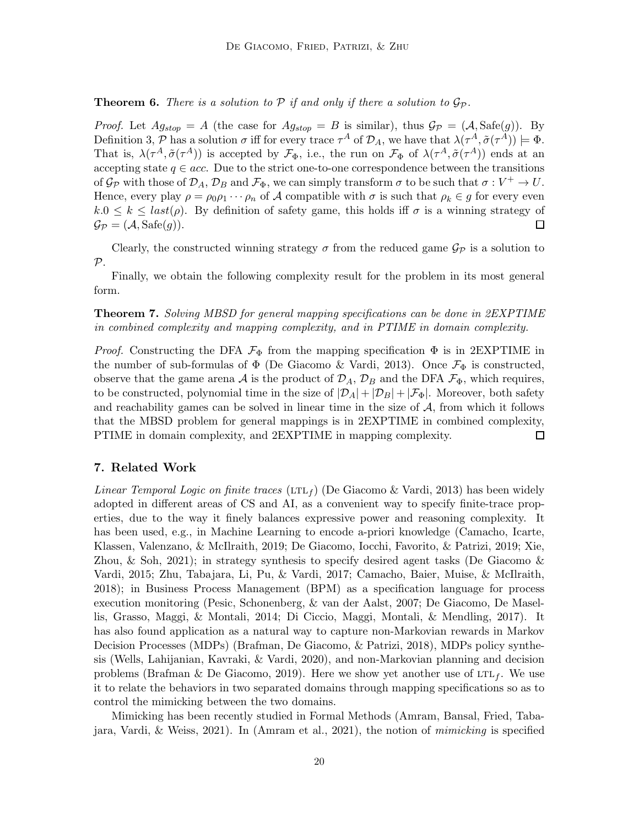**Theorem 6.** There is a solution to  $P$  if and only if there a solution to  $\mathcal{G}_P$ .

*Proof.* Let  $Ag_{stop} = A$  (the case for  $Ag_{stop} = B$  is similar), thus  $\mathcal{G}_{\mathcal{P}} = (\mathcal{A}, \text{Safe}(g))$ . By Definition 3, P has a solution  $\sigma$  iff for every trace  $\tau^A$  of  $\mathcal{D}_A$ , we have that  $\lambda(\tau^A, \tilde{\sigma}(\tau^A)) \models \Phi$ . That is,  $\lambda(\tau^A, \tilde{\sigma}(\tau^A))$  is accepted by  $\mathcal{F}_{\Phi}$ , i.e., the run on  $\mathcal{F}_{\Phi}$  of  $\lambda(\tau^A, \tilde{\sigma}(\tau^A))$  ends at an accepting state  $q \in acc$ . Due to the strict one-to-one correspondence between the transitions of  $\mathcal{G}_{\mathcal{P}}$  with those of  $\mathcal{D}_A$ ,  $\mathcal{D}_B$  and  $\mathcal{F}_{\Phi}$ , we can simply transform  $\sigma$  to be such that  $\sigma: V^+ \to U$ . Hence, every play  $\rho = \rho_0 \rho_1 \cdots \rho_n$  of A compatible with  $\sigma$  is such that  $\rho_k \in g$  for every even  $k.0 \leq k \leq last(\rho)$ . By definition of safety game, this holds iff  $\sigma$  is a winning strategy of  $\mathcal{G}_{\mathcal{P}} = (\mathcal{A}, \text{Safe}(g)).$  $\Box$ 

Clearly, the constructed winning strategy  $\sigma$  from the reduced game  $\mathcal{G}_P$  is a solution to  $\mathcal{P}.$ 

Finally, we obtain the following complexity result for the problem in its most general form.

Theorem 7. Solving MBSD for general mapping specifications can be done in 2EXPTIME in combined complexity and mapping complexity, and in PTIME in domain complexity.

*Proof.* Constructing the DFA  $\mathcal{F}_{\Phi}$  from the mapping specification  $\Phi$  is in 2EXPTIME in the number of sub-formulas of  $\Phi$  (De Giacomo & Vardi, 2013). Once  $\mathcal{F}_{\Phi}$  is constructed, observe that the game arena A is the product of  $\mathcal{D}_A$ ,  $\mathcal{D}_B$  and the DFA  $\mathcal{F}_{\Phi}$ , which requires, to be constructed, polynomial time in the size of  $|\mathcal{D}_A| + |\mathcal{D}_B| + |\mathcal{F}_{\Phi}|$ . Moreover, both safety and reachability games can be solved in linear time in the size of  $A$ , from which it follows that the MBSD problem for general mappings is in 2EXPTIME in combined complexity,  $\Box$ PTIME in domain complexity, and 2EXPTIME in mapping complexity.

# 7. Related Work

*Linear Temporal Logic on finite traces* (LTL<sub>f</sub>) (De Giacomo & Vardi, 2013) has been widely adopted in different areas of CS and AI, as a convenient way to specify finite-trace properties, due to the way it finely balances expressive power and reasoning complexity. It has been used, e.g., in Machine Learning to encode a-priori knowledge (Camacho, Icarte, Klassen, Valenzano, & McIlraith, 2019; De Giacomo, Iocchi, Favorito, & Patrizi, 2019; Xie, Zhou,  $\&$  Soh, 2021); in strategy synthesis to specify desired agent tasks (De Giacomo  $\&$ Vardi, 2015; Zhu, Tabajara, Li, Pu, & Vardi, 2017; Camacho, Baier, Muise, & McIlraith, 2018); in Business Process Management (BPM) as a specification language for process execution monitoring (Pesic, Schonenberg, & van der Aalst, 2007; De Giacomo, De Masellis, Grasso, Maggi, & Montali, 2014; Di Ciccio, Maggi, Montali, & Mendling, 2017). It has also found application as a natural way to capture non-Markovian rewards in Markov Decision Processes (MDPs) (Brafman, De Giacomo, & Patrizi, 2018), MDPs policy synthesis (Wells, Lahijanian, Kavraki, & Vardi, 2020), and non-Markovian planning and decision problems (Brafman & De Giacomo, 2019). Here we show yet another use of  $LTL_f$ . We use it to relate the behaviors in two separated domains through mapping specifications so as to control the mimicking between the two domains.

Mimicking has been recently studied in Formal Methods (Amram, Bansal, Fried, Tabajara, Vardi, & Weiss, 2021). In (Amram et al., 2021), the notion of mimicking is specified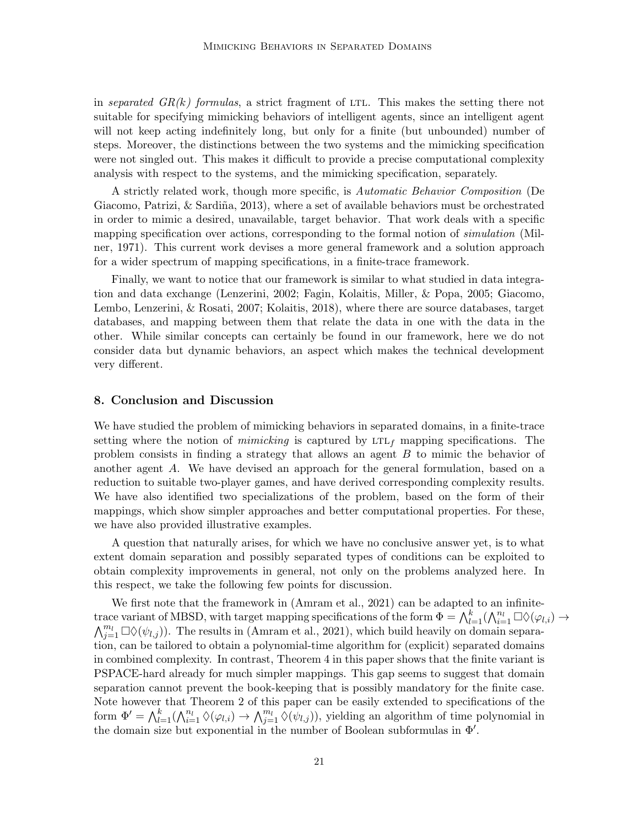in separated  $GR(k)$  formulas, a strict fragment of LTL. This makes the setting there not suitable for specifying mimicking behaviors of intelligent agents, since an intelligent agent will not keep acting indefinitely long, but only for a finite (but unbounded) number of steps. Moreover, the distinctions between the two systems and the mimicking specification were not singled out. This makes it difficult to provide a precise computational complexity analysis with respect to the systems, and the mimicking specification, separately.

A strictly related work, though more specific, is Automatic Behavior Composition (De Giacomo, Patrizi,  $\&$  Sardiña, 2013), where a set of available behaviors must be orchestrated in order to mimic a desired, unavailable, target behavior. That work deals with a specific mapping specification over actions, corresponding to the formal notion of *simulation* (Milner, 1971). This current work devises a more general framework and a solution approach for a wider spectrum of mapping specifications, in a finite-trace framework.

Finally, we want to notice that our framework is similar to what studied in data integration and data exchange (Lenzerini, 2002; Fagin, Kolaitis, Miller, & Popa, 2005; Giacomo, Lembo, Lenzerini, & Rosati, 2007; Kolaitis, 2018), where there are source databases, target databases, and mapping between them that relate the data in one with the data in the other. While similar concepts can certainly be found in our framework, here we do not consider data but dynamic behaviors, an aspect which makes the technical development very different.

#### 8. Conclusion and Discussion

We have studied the problem of mimicking behaviors in separated domains, in a finite-trace setting where the notion of *mimicking* is captured by  $LTL_f$  mapping specifications. The problem consists in finding a strategy that allows an agent B to mimic the behavior of another agent A. We have devised an approach for the general formulation, based on a reduction to suitable two-player games, and have derived corresponding complexity results. We have also identified two specializations of the problem, based on the form of their mappings, which show simpler approaches and better computational properties. For these, we have also provided illustrative examples.

A question that naturally arises, for which we have no conclusive answer yet, is to what extent domain separation and possibly separated types of conditions can be exploited to obtain complexity improvements in general, not only on the problems analyzed here. In this respect, we take the following few points for discussion.

We first note that the framework in (Amram et al., 2021) can be adapted to an infinitetrace variant of MBSD, with target mapping specifications of the form  $\Phi = \bigwedge_{l=1}^{k} (\bigwedge_{i=1}^{n_l} \Box \Diamond (\varphi_{l,i}) \rightarrow$  $\bigwedge_{j=1}^{m_l} \Box \Diamond (\psi_{l,j})$ . The results in (Amram et al., 2021), which build heavily on domain separation, can be tailored to obtain a polynomial-time algorithm for (explicit) separated domains in combined complexity. In contrast, Theorem 4 in this paper shows that the finite variant is PSPACE-hard already for much simpler mappings. This gap seems to suggest that domain separation cannot prevent the book-keeping that is possibly mandatory for the finite case. Note however that Theorem 2 of this paper can be easily extended to specifications of the form  $\Phi' = \bigwedge_{l=1}^k (\bigwedge_{i=1}^{n_l} \Diamond(\varphi_{l,i}) \to \bigwedge_{j=1}^{m_l} \Diamond(\psi_{l,j}))$ , yielding an algorithm of time polynomial in the domain size but exponential in the number of Boolean subformulas in  $\Phi'$ .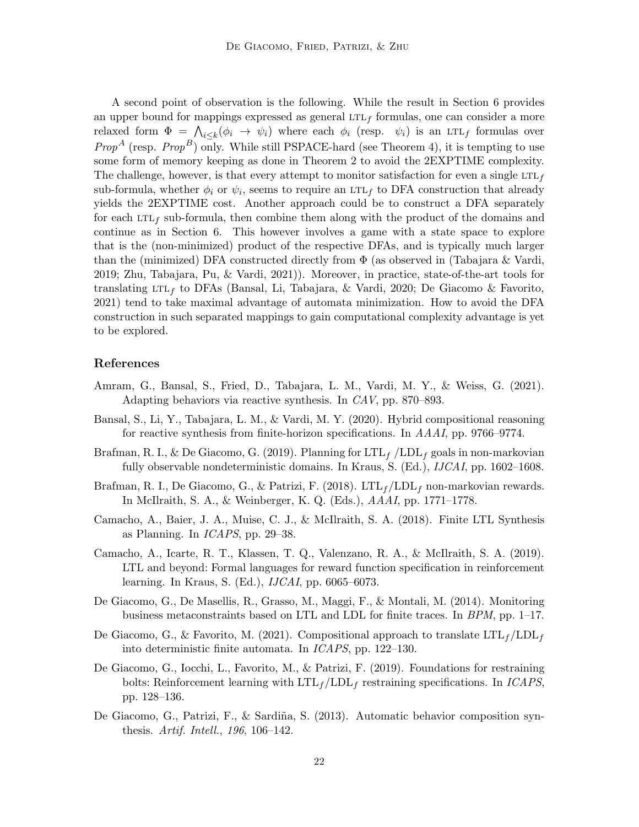A second point of observation is the following. While the result in Section 6 provides an upper bound for mappings expressed as general  $LTL<sub>f</sub>$  formulas, one can consider a more relaxed form  $\Phi = \bigwedge_{i \leq k} (\phi_i \to \psi_i)$  where each  $\phi_i$  (resp.  $\psi_i$ ) is an LTL<sub>f</sub> formulas over *Prop<sup>A</sup>* (resp. *Prop<sup>B</sup>*) only. While still PSPACE-hard (see Theorem 4), it is tempting to use some form of memory keeping as done in Theorem 2 to avoid the 2EXPTIME complexity. The challenge, however, is that every attempt to monitor satisfaction for even a single LTL<sub>f</sub> sub-formula, whether  $\phi_i$  or  $\psi_i$ , seems to require an LTL<sub>f</sub> to DFA construction that already yields the 2EXPTIME cost. Another approach could be to construct a DFA separately for each  $LTL_f$  sub-formula, then combine them along with the product of the domains and continue as in Section 6. This however involves a game with a state space to explore that is the (non-minimized) product of the respective DFAs, and is typically much larger than the (minimized) DFA constructed directly from  $\Phi$  (as observed in (Tabajara & Vardi, 2019; Zhu, Tabajara, Pu, & Vardi, 2021)). Moreover, in practice, state-of-the-art tools for translating LTL<sub>f</sub> to DFAs (Bansal, Li, Tabajara, & Vardi, 2020; De Giacomo & Favorito, 2021) tend to take maximal advantage of automata minimization. How to avoid the DFA construction in such separated mappings to gain computational complexity advantage is yet to be explored.

# References

- Amram, G., Bansal, S., Fried, D., Tabajara, L. M., Vardi, M. Y., & Weiss, G. (2021). Adapting behaviors via reactive synthesis. In CAV, pp. 870–893.
- Bansal, S., Li, Y., Tabajara, L. M., & Vardi, M. Y. (2020). Hybrid compositional reasoning for reactive synthesis from finite-horizon specifications. In AAAI, pp. 9766–9774.
- Brafman, R. I., & De Giacomo, G. (2019). Planning for  $LTL_f$  /LDL<sub>f</sub> goals in non-markovian fully observable nondeterministic domains. In Kraus, S. (Ed.), IJCAI, pp. 1602–1608.
- Brafman, R. I., De Giacomo, G., & Patrizi, F. (2018).  $LTL_f/LDL_f$  non-markovian rewards. In McIlraith, S. A., & Weinberger, K. Q. (Eds.), AAAI, pp. 1771–1778.
- Camacho, A., Baier, J. A., Muise, C. J., & McIlraith, S. A. (2018). Finite LTL Synthesis as Planning. In ICAPS, pp. 29–38.
- Camacho, A., Icarte, R. T., Klassen, T. Q., Valenzano, R. A., & McIlraith, S. A. (2019). LTL and beyond: Formal languages for reward function specification in reinforcement learning. In Kraus, S. (Ed.), IJCAI, pp. 6065–6073.
- De Giacomo, G., De Masellis, R., Grasso, M., Maggi, F., & Montali, M. (2014). Monitoring business metaconstraints based on LTL and LDL for finite traces. In BPM, pp. 1–17.
- De Giacomo, G., & Favorito, M. (2021). Compositional approach to translate  $LTL_f/LDL_f$ into deterministic finite automata. In ICAPS, pp. 122–130.
- De Giacomo, G., Iocchi, L., Favorito, M., & Patrizi, F. (2019). Foundations for restraining bolts: Reinforcement learning with  $LTL_f / LDL_f$  restraining specifications. In *ICAPS*, pp. 128–136.
- De Giacomo, G., Patrizi, F., & Sardiña, S. (2013). Automatic behavior composition synthesis. Artif. Intell., 196, 106–142.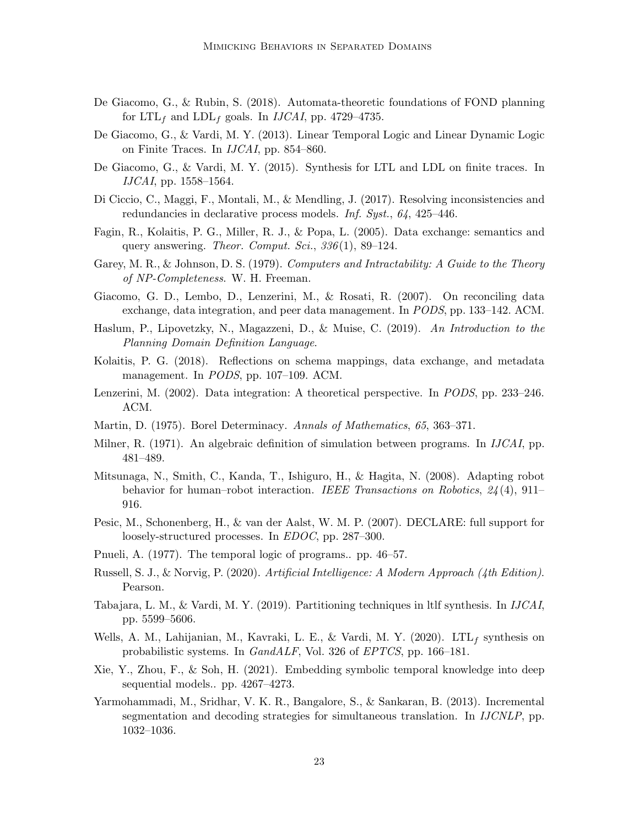- De Giacomo, G., & Rubin, S. (2018). Automata-theoretic foundations of FOND planning for  $LTL_f$  and  $LDL_f$  goals. In *IJCAI*, pp. 4729–4735.
- De Giacomo, G., & Vardi, M. Y. (2013). Linear Temporal Logic and Linear Dynamic Logic on Finite Traces. In IJCAI, pp. 854–860.
- De Giacomo, G., & Vardi, M. Y. (2015). Synthesis for LTL and LDL on finite traces. In IJCAI, pp. 1558–1564.
- Di Ciccio, C., Maggi, F., Montali, M., & Mendling, J. (2017). Resolving inconsistencies and redundancies in declarative process models. Inf. Syst., 64, 425–446.
- Fagin, R., Kolaitis, P. G., Miller, R. J., & Popa, L. (2005). Data exchange: semantics and query answering. Theor. Comput. Sci.,  $336(1)$ , 89-124.
- Garey, M. R., & Johnson, D. S. (1979). Computers and Intractability: A Guide to the Theory of NP-Completeness. W. H. Freeman.
- Giacomo, G. D., Lembo, D., Lenzerini, M., & Rosati, R. (2007). On reconciling data exchange, data integration, and peer data management. In PODS, pp. 133–142. ACM.
- Haslum, P., Lipovetzky, N., Magazzeni, D., & Muise, C. (2019). An Introduction to the Planning Domain Definition Language.
- Kolaitis, P. G. (2018). Reflections on schema mappings, data exchange, and metadata management. In PODS, pp. 107–109. ACM.
- Lenzerini, M. (2002). Data integration: A theoretical perspective. In PODS, pp. 233–246. ACM.
- Martin, D. (1975). Borel Determinacy. Annals of Mathematics, 65, 363–371.
- Milner, R. (1971). An algebraic definition of simulation between programs. In IJCAI, pp. 481–489.
- Mitsunaga, N., Smith, C., Kanda, T., Ishiguro, H., & Hagita, N. (2008). Adapting robot behavior for human–robot interaction. IEEE Transactions on Robotics, 24(4), 911– 916.
- Pesic, M., Schonenberg, H., & van der Aalst, W. M. P. (2007). DECLARE: full support for loosely-structured processes. In *EDOC*, pp. 287–300.
- Pnueli, A. (1977). The temporal logic of programs.. pp. 46–57.
- Russell, S. J., & Norvig, P. (2020). Artificial Intelligence: A Modern Approach (4th Edition). Pearson.
- Tabajara, L. M., & Vardi, M. Y. (2019). Partitioning techniques in ltlf synthesis. In IJCAI, pp. 5599–5606.
- Wells, A. M., Lahijanian, M., Kavraki, L. E., & Vardi, M. Y. (2020). LTL<sub>f</sub> synthesis on probabilistic systems. In GandALF, Vol. 326 of EPTCS, pp. 166–181.
- Xie, Y., Zhou, F., & Soh, H. (2021). Embedding symbolic temporal knowledge into deep sequential models.. pp. 4267–4273.
- Yarmohammadi, M., Sridhar, V. K. R., Bangalore, S., & Sankaran, B. (2013). Incremental segmentation and decoding strategies for simultaneous translation. In IJCNLP, pp. 1032–1036.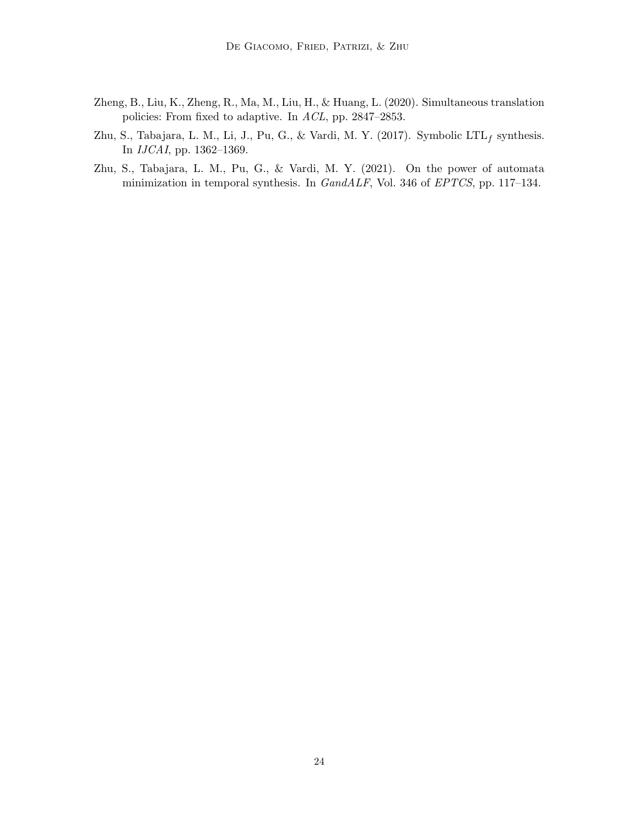- Zheng, B., Liu, K., Zheng, R., Ma, M., Liu, H., & Huang, L. (2020). Simultaneous translation policies: From fixed to adaptive. In ACL, pp. 2847–2853.
- Zhu, S., Tabajara, L. M., Li, J., Pu, G., & Vardi, M. Y. (2017). Symbolic  $LTL_f$  synthesis. In IJCAI, pp. 1362–1369.
- Zhu, S., Tabajara, L. M., Pu, G., & Vardi, M. Y. (2021). On the power of automata minimization in temporal synthesis. In GandALF, Vol. 346 of EPTCS, pp. 117–134.